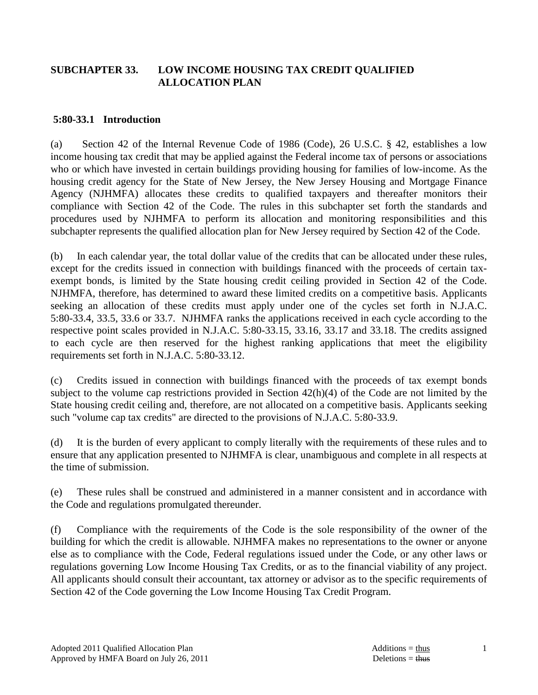### **SUBCHAPTER 33. LOW INCOME HOUSING TAX CREDIT QUALIFIED ALLOCATION PLAN**

#### **5:80-33.1 Introduction**

(a) Section 42 of the Internal Revenue Code of 1986 (Code), 26 U.S.C. § 42, establishes a low income housing tax credit that may be applied against the Federal income tax of persons or associations who or which have invested in certain buildings providing housing for families of low-income. As the housing credit agency for the State of New Jersey, the New Jersey Housing and Mortgage Finance Agency (NJHMFA) allocates these credits to qualified taxpayers and thereafter monitors their compliance with Section 42 of the Code. The rules in this subchapter set forth the standards and procedures used by NJHMFA to perform its allocation and monitoring responsibilities and this subchapter represents the qualified allocation plan for New Jersey required by Section 42 of the Code.

(b) In each calendar year, the total dollar value of the credits that can be allocated under these rules, except for the credits issued in connection with buildings financed with the proceeds of certain taxexempt bonds, is limited by the State housing credit ceiling provided in Section 42 of the Code. NJHMFA, therefore, has determined to award these limited credits on a competitive basis. Applicants seeking an allocation of these credits must apply under one of the cycles set forth in N.J.A.C. 5:80-33.4, 33.5, 33.6 or 33.7. NJHMFA ranks the applications received in each cycle according to the respective point scales provided in N.J.A.C. 5:80-33.15, 33.16, 33.17 and 33.18. The credits assigned to each cycle are then reserved for the highest ranking applications that meet the eligibility requirements set forth in N.J.A.C. 5:80-33.12.

(c) Credits issued in connection with buildings financed with the proceeds of tax exempt bonds subject to the volume cap restrictions provided in Section 42(h)(4) of the Code are not limited by the State housing credit ceiling and, therefore, are not allocated on a competitive basis. Applicants seeking such "volume cap tax credits" are directed to the provisions of N.J.A.C. 5:80-33.9.

(d) It is the burden of every applicant to comply literally with the requirements of these rules and to ensure that any application presented to NJHMFA is clear, unambiguous and complete in all respects at the time of submission.

(e) These rules shall be construed and administered in a manner consistent and in accordance with the Code and regulations promulgated thereunder.

(f) Compliance with the requirements of the Code is the sole responsibility of the owner of the building for which the credit is allowable. NJHMFA makes no representations to the owner or anyone else as to compliance with the Code, Federal regulations issued under the Code, or any other laws or regulations governing Low Income Housing Tax Credits, or as to the financial viability of any project. All applicants should consult their accountant, tax attorney or advisor as to the specific requirements of Section 42 of the Code governing the Low Income Housing Tax Credit Program.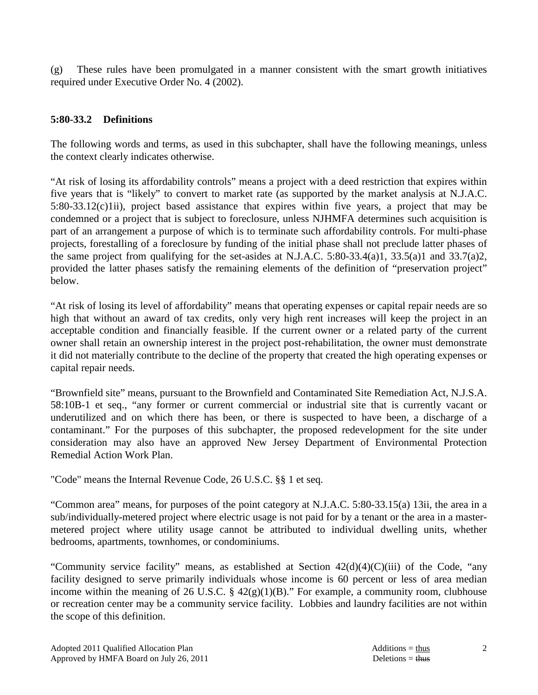(g) These rules have been promulgated in a manner consistent with the smart growth initiatives required under Executive Order No. 4 (2002).

### **5:80-33.2 Definitions**

The following words and terms, as used in this subchapter, shall have the following meanings, unless the context clearly indicates otherwise.

"At risk of losing its affordability controls" means a project with a deed restriction that expires within five years that is "likely" to convert to market rate (as supported by the market analysis at N.J.A.C. 5:80-33.12(c)1ii), project based assistance that expires within five years, a project that may be condemned or a project that is subject to foreclosure, unless NJHMFA determines such acquisition is part of an arrangement a purpose of which is to terminate such affordability controls. For multi-phase projects, forestalling of a foreclosure by funding of the initial phase shall not preclude latter phases of the same project from qualifying for the set-asides at N.J.A.C. 5:80-33.4(a)1, 33.5(a)1 and 33.7(a)2, provided the latter phases satisfy the remaining elements of the definition of "preservation project" below.

"At risk of losing its level of affordability" means that operating expenses or capital repair needs are so high that without an award of tax credits, only very high rent increases will keep the project in an acceptable condition and financially feasible. If the current owner or a related party of the current owner shall retain an ownership interest in the project post-rehabilitation, the owner must demonstrate it did not materially contribute to the decline of the property that created the high operating expenses or capital repair needs.

"Brownfield site" means, pursuant to the Brownfield and Contaminated Site Remediation Act, N.J.S.A. 58:10B-1 et seq., "any former or current commercial or industrial site that is currently vacant or underutilized and on which there has been, or there is suspected to have been, a discharge of a contaminant." For the purposes of this subchapter, the proposed redevelopment for the site under consideration may also have an approved New Jersey Department of Environmental Protection Remedial Action Work Plan.

"Code" means the Internal Revenue Code, 26 U.S.C. §§ 1 et seq.

"Common area" means, for purposes of the point category at N.J.A.C. 5:80-33.15(a) 13ii, the area in a sub/individually-metered project where electric usage is not paid for by a tenant or the area in a mastermetered project where utility usage cannot be attributed to individual dwelling units, whether bedrooms, apartments, townhomes, or condominiums.

"Community service facility" means, as established at Section  $42(d)(4)(C)(iii)$  of the Code, "any facility designed to serve primarily individuals whose income is 60 percent or less of area median income within the meaning of 26 U.S.C.  $\S$  42(g)(1)(B)." For example, a community room, clubhouse or recreation center may be a community service facility. Lobbies and laundry facilities are not within the scope of this definition.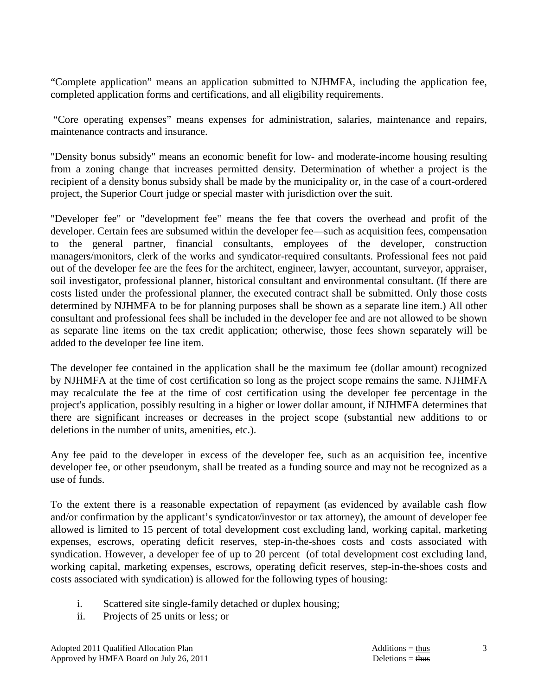"Complete application" means an application submitted to NJHMFA, including the application fee, completed application forms and certifications, and all eligibility requirements.

 "Core operating expenses" means expenses for administration, salaries, maintenance and repairs, maintenance contracts and insurance.

"Density bonus subsidy" means an economic benefit for low- and moderate-income housing resulting from a zoning change that increases permitted density. Determination of whether a project is the recipient of a density bonus subsidy shall be made by the municipality or, in the case of a court-ordered project, the Superior Court judge or special master with jurisdiction over the suit.

"Developer fee" or "development fee" means the fee that covers the overhead and profit of the developer. Certain fees are subsumed within the developer fee—such as acquisition fees, compensation to the general partner, financial consultants, employees of the developer, construction managers/monitors, clerk of the works and syndicator-required consultants. Professional fees not paid out of the developer fee are the fees for the architect, engineer, lawyer, accountant, surveyor, appraiser, soil investigator, professional planner, historical consultant and environmental consultant. (If there are costs listed under the professional planner, the executed contract shall be submitted. Only those costs determined by NJHMFA to be for planning purposes shall be shown as a separate line item.) All other consultant and professional fees shall be included in the developer fee and are not allowed to be shown as separate line items on the tax credit application; otherwise, those fees shown separately will be added to the developer fee line item.

The developer fee contained in the application shall be the maximum fee (dollar amount) recognized by NJHMFA at the time of cost certification so long as the project scope remains the same. NJHMFA may recalculate the fee at the time of cost certification using the developer fee percentage in the project's application, possibly resulting in a higher or lower dollar amount, if NJHMFA determines that there are significant increases or decreases in the project scope (substantial new additions to or deletions in the number of units, amenities, etc.).

Any fee paid to the developer in excess of the developer fee, such as an acquisition fee, incentive developer fee, or other pseudonym, shall be treated as a funding source and may not be recognized as a use of funds.

To the extent there is a reasonable expectation of repayment (as evidenced by available cash flow and/or confirmation by the applicant's syndicator/investor or tax attorney), the amount of developer fee allowed is limited to 15 percent of total development cost excluding land, working capital, marketing expenses, escrows, operating deficit reserves, step-in-the-shoes costs and costs associated with syndication. However, a developer fee of up to 20 percent (of total development cost excluding land, working capital, marketing expenses, escrows, operating deficit reserves, step-in-the-shoes costs and costs associated with syndication) is allowed for the following types of housing:

- i. Scattered site single-family detached or duplex housing;
- ii. Projects of 25 units or less; or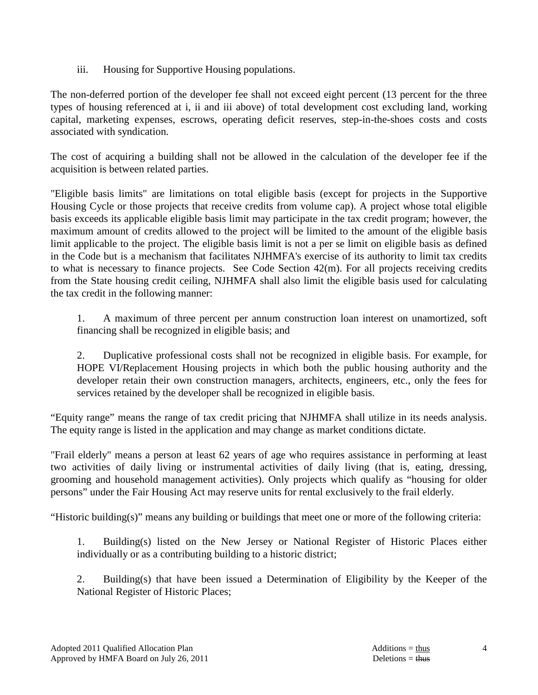iii. Housing for Supportive Housing populations.

The non-deferred portion of the developer fee shall not exceed eight percent (13 percent for the three types of housing referenced at i, ii and iii above) of total development cost excluding land, working capital, marketing expenses, escrows, operating deficit reserves, step-in-the-shoes costs and costs associated with syndication.

The cost of acquiring a building shall not be allowed in the calculation of the developer fee if the acquisition is between related parties.

"Eligible basis limits" are limitations on total eligible basis (except for projects in the Supportive Housing Cycle or those projects that receive credits from volume cap). A project whose total eligible basis exceeds its applicable eligible basis limit may participate in the tax credit program; however, the maximum amount of credits allowed to the project will be limited to the amount of the eligible basis limit applicable to the project. The eligible basis limit is not a per se limit on eligible basis as defined in the Code but is a mechanism that facilitates NJHMFA's exercise of its authority to limit tax credits to what is necessary to finance projects. See Code Section 42(m). For all projects receiving credits from the State housing credit ceiling, NJHMFA shall also limit the eligible basis used for calculating the tax credit in the following manner:

 1. A maximum of three percent per annum construction loan interest on unamortized, soft financing shall be recognized in eligible basis; and

 2. Duplicative professional costs shall not be recognized in eligible basis. For example, for HOPE VI/Replacement Housing projects in which both the public housing authority and the developer retain their own construction managers, architects, engineers, etc., only the fees for services retained by the developer shall be recognized in eligible basis.

"Equity range" means the range of tax credit pricing that NJHMFA shall utilize in its needs analysis. The equity range is listed in the application and may change as market conditions dictate.

"Frail elderly" means a person at least 62 years of age who requires assistance in performing at least two activities of daily living or instrumental activities of daily living (that is, eating, dressing, grooming and household management activities). Only projects which qualify as "housing for older persons" under the Fair Housing Act may reserve units for rental exclusively to the frail elderly.

"Historic building(s)" means any building or buildings that meet one or more of the following criteria:

 1. Building(s) listed on the New Jersey or National Register of Historic Places either individually or as a contributing building to a historic district;

 2. Building(s) that have been issued a Determination of Eligibility by the Keeper of the National Register of Historic Places;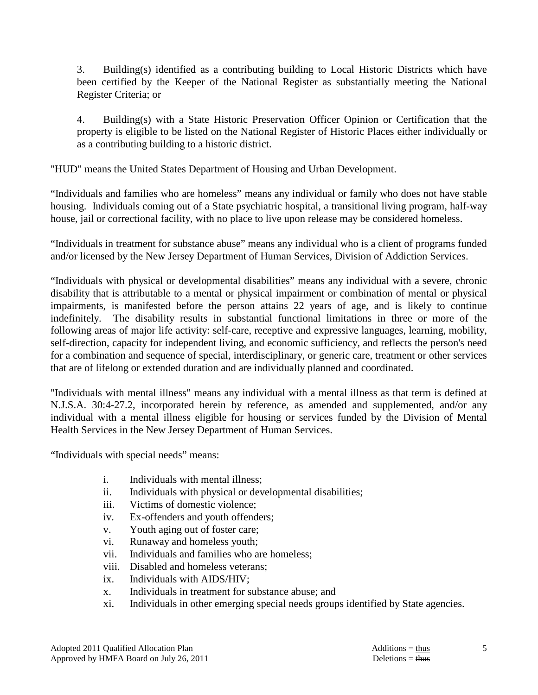3. Building(s) identified as a contributing building to Local Historic Districts which have been certified by the Keeper of the National Register as substantially meeting the National Register Criteria; or

 4. Building(s) with a State Historic Preservation Officer Opinion or Certification that the property is eligible to be listed on the National Register of Historic Places either individually or as a contributing building to a historic district.

"HUD" means the United States Department of Housing and Urban Development.

"Individuals and families who are homeless" means any individual or family who does not have stable housing. Individuals coming out of a State psychiatric hospital, a transitional living program, half-way house, jail or correctional facility, with no place to live upon release may be considered homeless.

"Individuals in treatment for substance abuse" means any individual who is a client of programs funded and/or licensed by the New Jersey Department of Human Services, Division of Addiction Services.

"Individuals with physical or developmental disabilities" means any individual with a severe, chronic disability that is attributable to a mental or physical impairment or combination of mental or physical impairments, is manifested before the person attains 22 years of age, and is likely to continue indefinitely. The disability results in substantial functional limitations in three or more of the following areas of major life activity: self-care, receptive and expressive languages, learning, mobility, self-direction, capacity for independent living, and economic sufficiency, and reflects the person's need for a combination and sequence of special, interdisciplinary, or generic care, treatment or other services that are of lifelong or extended duration and are individually planned and coordinated.

"Individuals with mental illness" means any individual with a mental illness as that term is defined at N.J.S.A. 30:4-27.2, incorporated herein by reference, as amended and supplemented, and/or any individual with a mental illness eligible for housing or services funded by the Division of Mental Health Services in the New Jersey Department of Human Services.

"Individuals with special needs" means:

- i. Individuals with mental illness;
- ii. Individuals with physical or developmental disabilities;
- iii. Victims of domestic violence;
- iv. Ex-offenders and youth offenders;
- v. Youth aging out of foster care;
- vi. Runaway and homeless youth;
- vii. Individuals and families who are homeless;
- viii. Disabled and homeless veterans;
- ix. Individuals with AIDS/HIV;
- x. Individuals in treatment for substance abuse; and
- xi. Individuals in other emerging special needs groups identified by State agencies.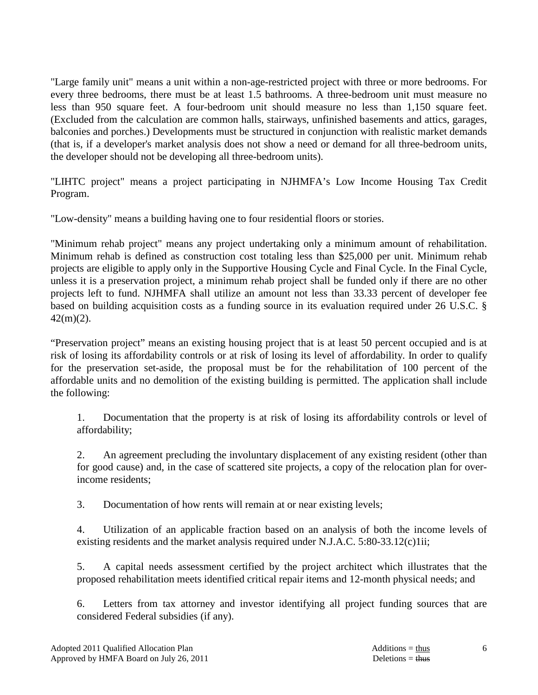"Large family unit" means a unit within a non-age-restricted project with three or more bedrooms. For every three bedrooms, there must be at least 1.5 bathrooms. A three-bedroom unit must measure no less than 950 square feet. A four-bedroom unit should measure no less than 1,150 square feet. (Excluded from the calculation are common halls, stairways, unfinished basements and attics, garages, balconies and porches.) Developments must be structured in conjunction with realistic market demands (that is, if a developer's market analysis does not show a need or demand for all three-bedroom units, the developer should not be developing all three-bedroom units).

"LIHTC project" means a project participating in NJHMFA's Low Income Housing Tax Credit Program.

"Low-density" means a building having one to four residential floors or stories.

"Minimum rehab project" means any project undertaking only a minimum amount of rehabilitation. Minimum rehab is defined as construction cost totaling less than \$25,000 per unit. Minimum rehab projects are eligible to apply only in the Supportive Housing Cycle and Final Cycle. In the Final Cycle, unless it is a preservation project, a minimum rehab project shall be funded only if there are no other projects left to fund. NJHMFA shall utilize an amount not less than 33.33 percent of developer fee based on building acquisition costs as a funding source in its evaluation required under 26 U.S.C. §  $42(m)(2)$ .

"Preservation project" means an existing housing project that is at least 50 percent occupied and is at risk of losing its affordability controls or at risk of losing its level of affordability. In order to qualify for the preservation set-aside, the proposal must be for the rehabilitation of 100 percent of the affordable units and no demolition of the existing building is permitted. The application shall include the following:

 1. Documentation that the property is at risk of losing its affordability controls or level of affordability;

 2. An agreement precluding the involuntary displacement of any existing resident (other than for good cause) and, in the case of scattered site projects, a copy of the relocation plan for overincome residents;

3. Documentation of how rents will remain at or near existing levels;

 4. Utilization of an applicable fraction based on an analysis of both the income levels of existing residents and the market analysis required under N.J.A.C. 5:80-33.12(c)1ii;

 5. A capital needs assessment certified by the project architect which illustrates that the proposed rehabilitation meets identified critical repair items and 12-month physical needs; and

 6. Letters from tax attorney and investor identifying all project funding sources that are considered Federal subsidies (if any).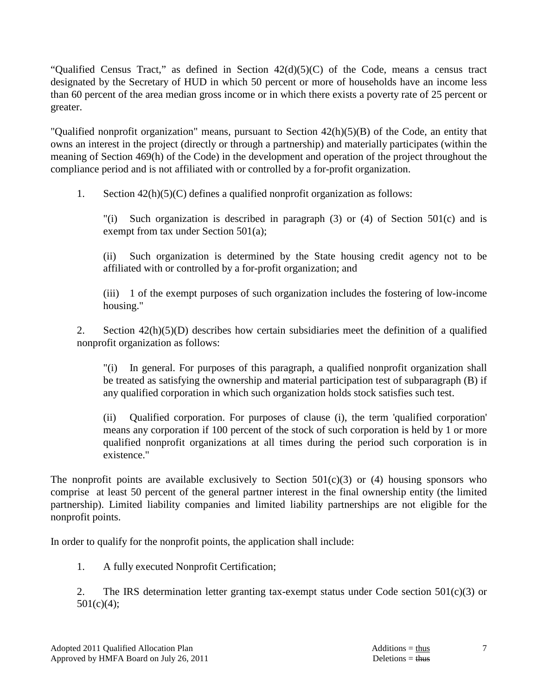"Qualified Census Tract," as defined in Section  $42(d)(5)(C)$  of the Code, means a census tract designated by the Secretary of HUD in which 50 percent or more of households have an income less than 60 percent of the area median gross income or in which there exists a poverty rate of 25 percent or greater.

"Qualified nonprofit organization" means, pursuant to Section 42(h)(5)(B) of the Code, an entity that owns an interest in the project (directly or through a partnership) and materially participates (within the meaning of Section 469(h) of the Code) in the development and operation of the project throughout the compliance period and is not affiliated with or controlled by a for-profit organization.

1. Section 42(h)(5)(C) defines a qualified nonprofit organization as follows:

 "(i) Such organization is described in paragraph (3) or (4) of Section 501(c) and is exempt from tax under Section 501(a);

 (ii) Such organization is determined by the State housing credit agency not to be affiliated with or controlled by a for-profit organization; and

 (iii) 1 of the exempt purposes of such organization includes the fostering of low-income housing."

 2. Section 42(h)(5)(D) describes how certain subsidiaries meet the definition of a qualified nonprofit organization as follows:

 "(i) In general. For purposes of this paragraph, a qualified nonprofit organization shall be treated as satisfying the ownership and material participation test of subparagraph (B) if any qualified corporation in which such organization holds stock satisfies such test.

 (ii) Qualified corporation. For purposes of clause (i), the term 'qualified corporation' means any corporation if 100 percent of the stock of such corporation is held by 1 or more qualified nonprofit organizations at all times during the period such corporation is in existence."

The nonprofit points are available exclusively to Section  $501(c)(3)$  or (4) housing sponsors who comprise at least 50 percent of the general partner interest in the final ownership entity (the limited partnership). Limited liability companies and limited liability partnerships are not eligible for the nonprofit points.

In order to qualify for the nonprofit points, the application shall include:

1. A fully executed Nonprofit Certification;

2. The IRS determination letter granting tax-exempt status under Code section  $501(c)(3)$  or  $501(c)(4);$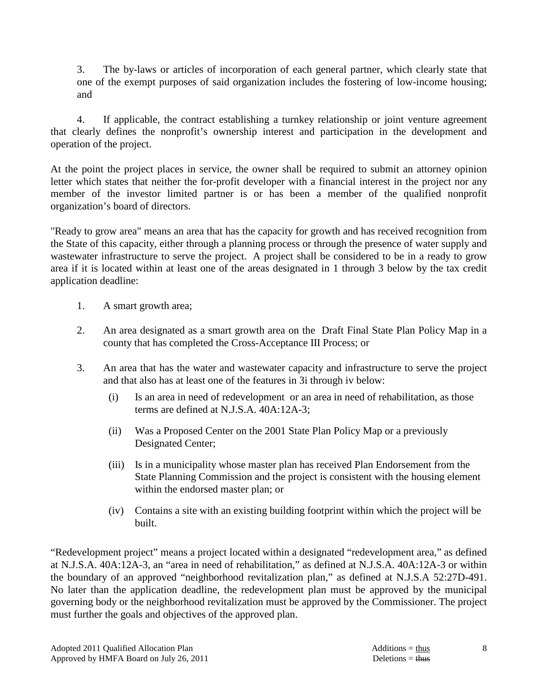3. The by-laws or articles of incorporation of each general partner, which clearly state that one of the exempt purposes of said organization includes the fostering of low-income housing; and

 4. If applicable, the contract establishing a turnkey relationship or joint venture agreement that clearly defines the nonprofit's ownership interest and participation in the development and operation of the project.

At the point the project places in service, the owner shall be required to submit an attorney opinion letter which states that neither the for-profit developer with a financial interest in the project nor any member of the investor limited partner is or has been a member of the qualified nonprofit organization's board of directors.

"Ready to grow area" means an area that has the capacity for growth and has received recognition from the State of this capacity, either through a planning process or through the presence of water supply and wastewater infrastructure to serve the project. A project shall be considered to be in a ready to grow area if it is located within at least one of the areas designated in 1 through 3 below by the tax credit application deadline:

- 1. A smart growth area;
- 2. An area designated as a smart growth area on the Draft Final State Plan Policy Map in a county that has completed the Cross-Acceptance III Process; or
- 3. An area that has the water and wastewater capacity and infrastructure to serve the project and that also has at least one of the features in 3i through iv below:
	- (i) Is an area in need of redevelopment or an area in need of rehabilitation, as those terms are defined at N.J.S.A. 40A:12A-3;
	- (ii) Was a Proposed Center on the 2001 State Plan Policy Map or a previously Designated Center;
	- (iii) Is in a municipality whose master plan has received Plan Endorsement from the State Planning Commission and the project is consistent with the housing element within the endorsed master plan; or
	- (iv) Contains a site with an existing building footprint within which the project will be built.

"Redevelopment project" means a project located within a designated "redevelopment area," as defined at N.J.S.A. 40A:12A-3, an "area in need of rehabilitation," as defined at N.J.S.A. 40A:12A-3 or within the boundary of an approved "neighborhood revitalization plan," as defined at N.J.S.A 52:27D-491. No later than the application deadline, the redevelopment plan must be approved by the municipal governing body or the neighborhood revitalization must be approved by the Commissioner. The project must further the goals and objectives of the approved plan.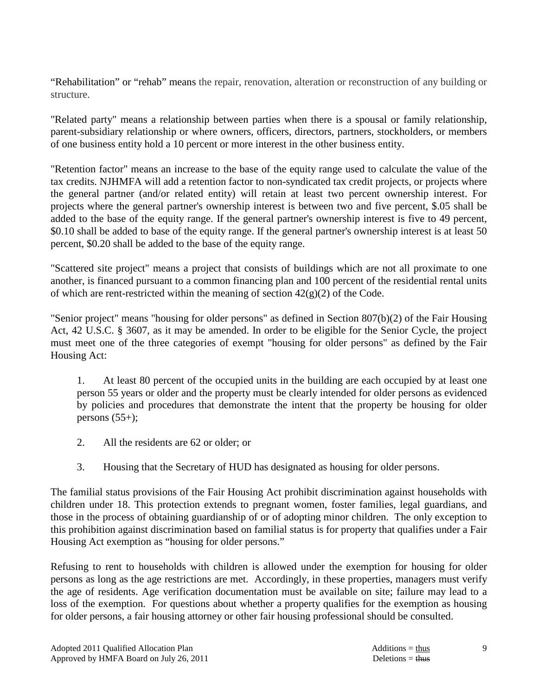"Rehabilitation" or "rehab" means the repair, renovation, alteration or reconstruction of any building or structure.

"Related party" means a relationship between parties when there is a spousal or family relationship, parent-subsidiary relationship or where owners, officers, directors, partners, stockholders, or members of one business entity hold a 10 percent or more interest in the other business entity.

"Retention factor" means an increase to the base of the equity range used to calculate the value of the tax credits. NJHMFA will add a retention factor to non-syndicated tax credit projects, or projects where the general partner (and/or related entity) will retain at least two percent ownership interest. For projects where the general partner's ownership interest is between two and five percent, \$.05 shall be added to the base of the equity range. If the general partner's ownership interest is five to 49 percent, \$0.10 shall be added to base of the equity range. If the general partner's ownership interest is at least 50 percent, \$0.20 shall be added to the base of the equity range.

"Scattered site project" means a project that consists of buildings which are not all proximate to one another, is financed pursuant to a common financing plan and 100 percent of the residential rental units of which are rent-restricted within the meaning of section  $42(g)(2)$  of the Code.

"Senior project" means "housing for older persons" as defined in Section 807(b)(2) of the Fair Housing Act, 42 U.S.C. § 3607, as it may be amended. In order to be eligible for the Senior Cycle, the project must meet one of the three categories of exempt "housing for older persons" as defined by the Fair Housing Act:

 1. At least 80 percent of the occupied units in the building are each occupied by at least one person 55 years or older and the property must be clearly intended for older persons as evidenced by policies and procedures that demonstrate the intent that the property be housing for older persons  $(55+)$ ;

- 2. All the residents are 62 or older; or
- 3. Housing that the Secretary of HUD has designated as housing for older persons.

The familial status provisions of the Fair Housing Act prohibit discrimination against households with children under 18. This protection extends to pregnant women, foster families, legal guardians, and those in the process of obtaining guardianship of or of adopting minor children. The only exception to this prohibition against discrimination based on familial status is for property that qualifies under a Fair Housing Act exemption as "housing for older persons."

Refusing to rent to households with children is allowed under the exemption for housing for older persons as long as the age restrictions are met. Accordingly, in these properties, managers must verify the age of residents. Age verification documentation must be available on site; failure may lead to a loss of the exemption. For questions about whether a property qualifies for the exemption as housing for older persons, a fair housing attorney or other fair housing professional should be consulted.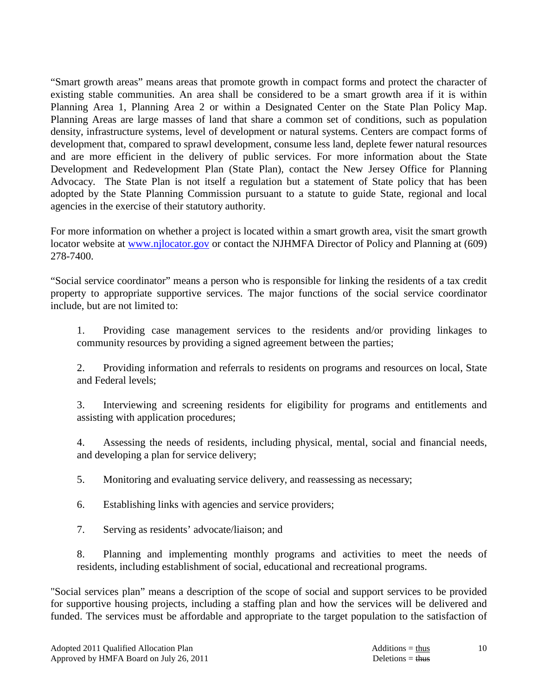"Smart growth areas" means areas that promote growth in compact forms and protect the character of existing stable communities. An area shall be considered to be a smart growth area if it is within Planning Area 1, Planning Area 2 or within a Designated Center on the State Plan Policy Map. Planning Areas are large masses of land that share a common set of conditions, such as population density, infrastructure systems, level of development or natural systems. Centers are compact forms of development that, compared to sprawl development, consume less land, deplete fewer natural resources and are more efficient in the delivery of public services. For more information about the State Development and Redevelopment Plan (State Plan), contact the New Jersey Office for Planning Advocacy. The State Plan is not itself a regulation but a statement of State policy that has been adopted by the State Planning Commission pursuant to a statute to guide State, regional and local agencies in the exercise of their statutory authority.

For more information on whether a project is located within a smart growth area, visit the smart growth locator website at www.njlocator.gov or contact the NJHMFA Director of Policy and Planning at (609) 278-7400.

"Social service coordinator" means a person who is responsible for linking the residents of a tax credit property to appropriate supportive services. The major functions of the social service coordinator include, but are not limited to:

 1. Providing case management services to the residents and/or providing linkages to community resources by providing a signed agreement between the parties;

 2. Providing information and referrals to residents on programs and resources on local, State and Federal levels;

 3. Interviewing and screening residents for eligibility for programs and entitlements and assisting with application procedures;

 4. Assessing the needs of residents, including physical, mental, social and financial needs, and developing a plan for service delivery;

5. Monitoring and evaluating service delivery, and reassessing as necessary;

6. Establishing links with agencies and service providers;

7. Serving as residents' advocate/liaison; and

 8. Planning and implementing monthly programs and activities to meet the needs of residents, including establishment of social, educational and recreational programs.

"Social services plan" means a description of the scope of social and support services to be provided for supportive housing projects, including a staffing plan and how the services will be delivered and funded. The services must be affordable and appropriate to the target population to the satisfaction of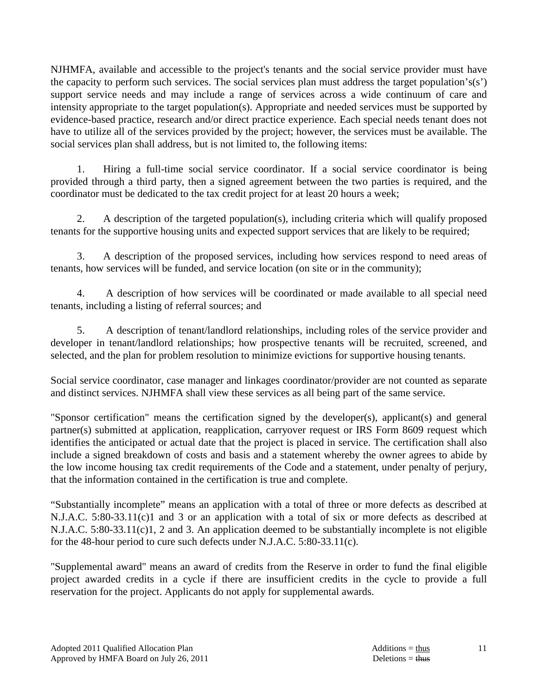NJHMFA, available and accessible to the project's tenants and the social service provider must have the capacity to perform such services. The social services plan must address the target population's(s') support service needs and may include a range of services across a wide continuum of care and intensity appropriate to the target population(s). Appropriate and needed services must be supported by evidence-based practice, research and/or direct practice experience. Each special needs tenant does not have to utilize all of the services provided by the project; however, the services must be available. The social services plan shall address, but is not limited to, the following items:

 1. Hiring a full-time social service coordinator. If a social service coordinator is being provided through a third party, then a signed agreement between the two parties is required, and the coordinator must be dedicated to the tax credit project for at least 20 hours a week;

 2. A description of the targeted population(s), including criteria which will qualify proposed tenants for the supportive housing units and expected support services that are likely to be required;

 3. A description of the proposed services, including how services respond to need areas of tenants, how services will be funded, and service location (on site or in the community);

 4. A description of how services will be coordinated or made available to all special need tenants, including a listing of referral sources; and

 5. A description of tenant/landlord relationships, including roles of the service provider and developer in tenant/landlord relationships; how prospective tenants will be recruited, screened, and selected, and the plan for problem resolution to minimize evictions for supportive housing tenants.

Social service coordinator, case manager and linkages coordinator/provider are not counted as separate and distinct services. NJHMFA shall view these services as all being part of the same service.

"Sponsor certification" means the certification signed by the developer(s), applicant(s) and general partner(s) submitted at application, reapplication, carryover request or IRS Form 8609 request which identifies the anticipated or actual date that the project is placed in service. The certification shall also include a signed breakdown of costs and basis and a statement whereby the owner agrees to abide by the low income housing tax credit requirements of the Code and a statement, under penalty of perjury, that the information contained in the certification is true and complete.

"Substantially incomplete" means an application with a total of three or more defects as described at N.J.A.C. 5:80-33.11(c)1 and 3 or an application with a total of six or more defects as described at N.J.A.C. 5:80-33.11(c)1, 2 and 3. An application deemed to be substantially incomplete is not eligible for the 48-hour period to cure such defects under N.J.A.C. 5:80-33.11(c).

"Supplemental award" means an award of credits from the Reserve in order to fund the final eligible project awarded credits in a cycle if there are insufficient credits in the cycle to provide a full reservation for the project. Applicants do not apply for supplemental awards.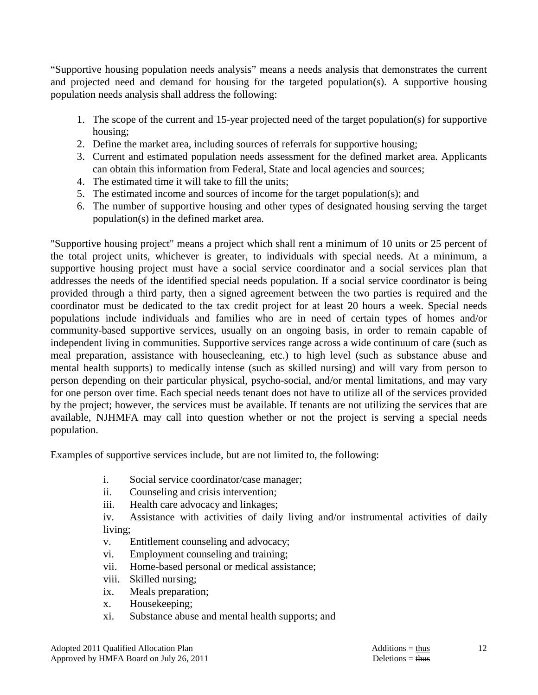"Supportive housing population needs analysis" means a needs analysis that demonstrates the current and projected need and demand for housing for the targeted population(s). A supportive housing population needs analysis shall address the following:

- 1. The scope of the current and 15-year projected need of the target population(s) for supportive housing;
- 2. Define the market area, including sources of referrals for supportive housing;
- 3. Current and estimated population needs assessment for the defined market area. Applicants can obtain this information from Federal, State and local agencies and sources;
- 4. The estimated time it will take to fill the units;
- 5. The estimated income and sources of income for the target population(s); and
- 6. The number of supportive housing and other types of designated housing serving the target population(s) in the defined market area.

"Supportive housing project" means a project which shall rent a minimum of 10 units or 25 percent of the total project units, whichever is greater, to individuals with special needs. At a minimum, a supportive housing project must have a social service coordinator and a social services plan that addresses the needs of the identified special needs population. If a social service coordinator is being provided through a third party, then a signed agreement between the two parties is required and the coordinator must be dedicated to the tax credit project for at least 20 hours a week. Special needs populations include individuals and families who are in need of certain types of homes and/or community-based supportive services, usually on an ongoing basis, in order to remain capable of independent living in communities. Supportive services range across a wide continuum of care (such as meal preparation, assistance with housecleaning, etc.) to high level (such as substance abuse and mental health supports) to medically intense (such as skilled nursing) and will vary from person to person depending on their particular physical, psycho-social, and/or mental limitations, and may vary for one person over time. Each special needs tenant does not have to utilize all of the services provided by the project; however, the services must be available. If tenants are not utilizing the services that are available, NJHMFA may call into question whether or not the project is serving a special needs population.

Examples of supportive services include, but are not limited to, the following:

- i. Social service coordinator/case manager;
- ii. Counseling and crisis intervention;
- iii. Health care advocacy and linkages;

 iv. Assistance with activities of daily living and/or instrumental activities of daily living;

- v. Entitlement counseling and advocacy;
- vi. Employment counseling and training;
- vii. Home-based personal or medical assistance;
- viii. Skilled nursing;
- ix. Meals preparation;
- x. Housekeeping;
- xi. Substance abuse and mental health supports; and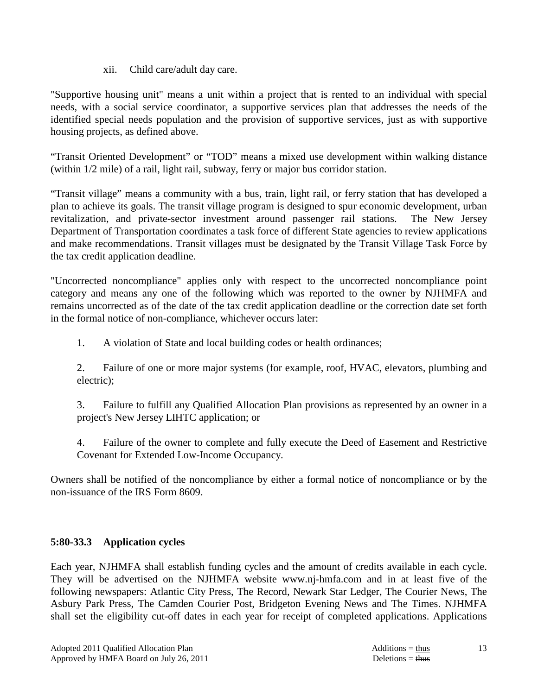### xii. Child care/adult day care.

"Supportive housing unit" means a unit within a project that is rented to an individual with special needs, with a social service coordinator, a supportive services plan that addresses the needs of the identified special needs population and the provision of supportive services, just as with supportive housing projects, as defined above.

"Transit Oriented Development" or "TOD" means a mixed use development within walking distance (within 1/2 mile) of a rail, light rail, subway, ferry or major bus corridor station.

"Transit village" means a community with a bus, train, light rail, or ferry station that has developed a plan to achieve its goals. The transit village program is designed to spur economic development, urban revitalization, and private-sector investment around passenger rail stations. The New Jersey Department of Transportation coordinates a task force of different State agencies to review applications and make recommendations. Transit villages must be designated by the Transit Village Task Force by the tax credit application deadline.

"Uncorrected noncompliance" applies only with respect to the uncorrected noncompliance point category and means any one of the following which was reported to the owner by NJHMFA and remains uncorrected as of the date of the tax credit application deadline or the correction date set forth in the formal notice of non-compliance, whichever occurs later:

1. A violation of State and local building codes or health ordinances;

 2. Failure of one or more major systems (for example, roof, HVAC, elevators, plumbing and electric);

 3. Failure to fulfill any Qualified Allocation Plan provisions as represented by an owner in a project's New Jersey LIHTC application; or

 4. Failure of the owner to complete and fully execute the Deed of Easement and Restrictive Covenant for Extended Low-Income Occupancy.

Owners shall be notified of the noncompliance by either a formal notice of noncompliance or by the non-issuance of the IRS Form 8609.

# **5:80-33.3 Application cycles**

Each year, NJHMFA shall establish funding cycles and the amount of credits available in each cycle. They will be advertised on the NJHMFA website www.nj-hmfa.com and in at least five of the following newspapers: Atlantic City Press, The Record, Newark Star Ledger, The Courier News, The Asbury Park Press, The Camden Courier Post, Bridgeton Evening News and The Times. NJHMFA shall set the eligibility cut-off dates in each year for receipt of completed applications. Applications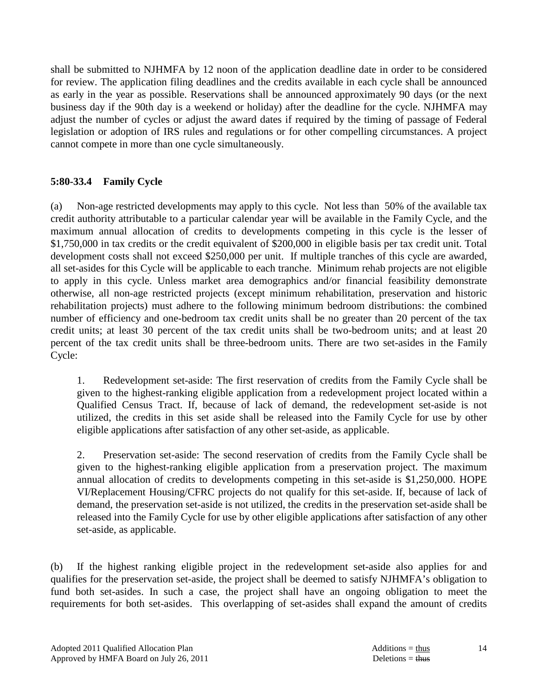shall be submitted to NJHMFA by 12 noon of the application deadline date in order to be considered for review. The application filing deadlines and the credits available in each cycle shall be announced as early in the year as possible. Reservations shall be announced approximately 90 days (or the next business day if the 90th day is a weekend or holiday) after the deadline for the cycle. NJHMFA may adjust the number of cycles or adjust the award dates if required by the timing of passage of Federal legislation or adoption of IRS rules and regulations or for other compelling circumstances. A project cannot compete in more than one cycle simultaneously.

# **5:80-33.4 Family Cycle**

(a) Non-age restricted developments may apply to this cycle. Not less than 50% of the available tax credit authority attributable to a particular calendar year will be available in the Family Cycle, and the maximum annual allocation of credits to developments competing in this cycle is the lesser of \$1,750,000 in tax credits or the credit equivalent of \$200,000 in eligible basis per tax credit unit. Total development costs shall not exceed \$250,000 per unit. If multiple tranches of this cycle are awarded, all set-asides for this Cycle will be applicable to each tranche. Minimum rehab projects are not eligible to apply in this cycle. Unless market area demographics and/or financial feasibility demonstrate otherwise, all non-age restricted projects (except minimum rehabilitation, preservation and historic rehabilitation projects) must adhere to the following minimum bedroom distributions: the combined number of efficiency and one-bedroom tax credit units shall be no greater than 20 percent of the tax credit units; at least 30 percent of the tax credit units shall be two-bedroom units; and at least 20 percent of the tax credit units shall be three-bedroom units. There are two set-asides in the Family Cycle:

 1. Redevelopment set-aside: The first reservation of credits from the Family Cycle shall be given to the highest-ranking eligible application from a redevelopment project located within a Qualified Census Tract. If, because of lack of demand, the redevelopment set-aside is not utilized, the credits in this set aside shall be released into the Family Cycle for use by other eligible applications after satisfaction of any other set-aside, as applicable.

 2. Preservation set-aside: The second reservation of credits from the Family Cycle shall be given to the highest-ranking eligible application from a preservation project. The maximum annual allocation of credits to developments competing in this set-aside is \$1,250,000. HOPE VI/Replacement Housing/CFRC projects do not qualify for this set-aside. If, because of lack of demand, the preservation set-aside is not utilized, the credits in the preservation set-aside shall be released into the Family Cycle for use by other eligible applications after satisfaction of any other set-aside, as applicable.

(b) If the highest ranking eligible project in the redevelopment set-aside also applies for and qualifies for the preservation set-aside, the project shall be deemed to satisfy NJHMFA's obligation to fund both set-asides. In such a case, the project shall have an ongoing obligation to meet the requirements for both set-asides. This overlapping of set-asides shall expand the amount of credits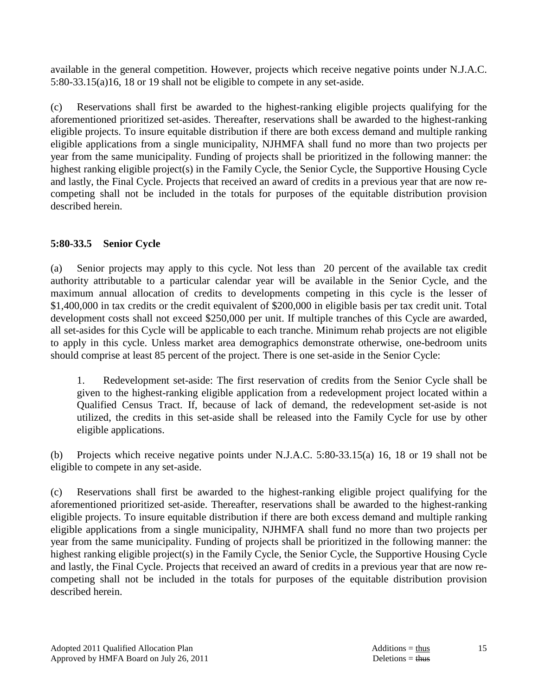available in the general competition. However, projects which receive negative points under N.J.A.C. 5:80-33.15(a)16, 18 or 19 shall not be eligible to compete in any set-aside.

(c) Reservations shall first be awarded to the highest-ranking eligible projects qualifying for the aforementioned prioritized set-asides. Thereafter, reservations shall be awarded to the highest-ranking eligible projects. To insure equitable distribution if there are both excess demand and multiple ranking eligible applications from a single municipality, NJHMFA shall fund no more than two projects per year from the same municipality. Funding of projects shall be prioritized in the following manner: the highest ranking eligible project(s) in the Family Cycle, the Senior Cycle, the Supportive Housing Cycle and lastly, the Final Cycle. Projects that received an award of credits in a previous year that are now recompeting shall not be included in the totals for purposes of the equitable distribution provision described herein.

# **5:80-33.5 Senior Cycle**

(a) Senior projects may apply to this cycle. Not less than 20 percent of the available tax credit authority attributable to a particular calendar year will be available in the Senior Cycle, and the maximum annual allocation of credits to developments competing in this cycle is the lesser of \$1,400,000 in tax credits or the credit equivalent of \$200,000 in eligible basis per tax credit unit. Total development costs shall not exceed \$250,000 per unit. If multiple tranches of this Cycle are awarded, all set-asides for this Cycle will be applicable to each tranche. Minimum rehab projects are not eligible to apply in this cycle. Unless market area demographics demonstrate otherwise, one-bedroom units should comprise at least 85 percent of the project. There is one set-aside in the Senior Cycle:

 1. Redevelopment set-aside: The first reservation of credits from the Senior Cycle shall be given to the highest-ranking eligible application from a redevelopment project located within a Qualified Census Tract. If, because of lack of demand, the redevelopment set-aside is not utilized, the credits in this set-aside shall be released into the Family Cycle for use by other eligible applications.

(b) Projects which receive negative points under N.J.A.C. 5:80-33.15(a) 16, 18 or 19 shall not be eligible to compete in any set-aside.

(c) Reservations shall first be awarded to the highest-ranking eligible project qualifying for the aforementioned prioritized set-aside. Thereafter, reservations shall be awarded to the highest-ranking eligible projects. To insure equitable distribution if there are both excess demand and multiple ranking eligible applications from a single municipality, NJHMFA shall fund no more than two projects per year from the same municipality. Funding of projects shall be prioritized in the following manner: the highest ranking eligible project(s) in the Family Cycle, the Senior Cycle, the Supportive Housing Cycle and lastly, the Final Cycle. Projects that received an award of credits in a previous year that are now recompeting shall not be included in the totals for purposes of the equitable distribution provision described herein.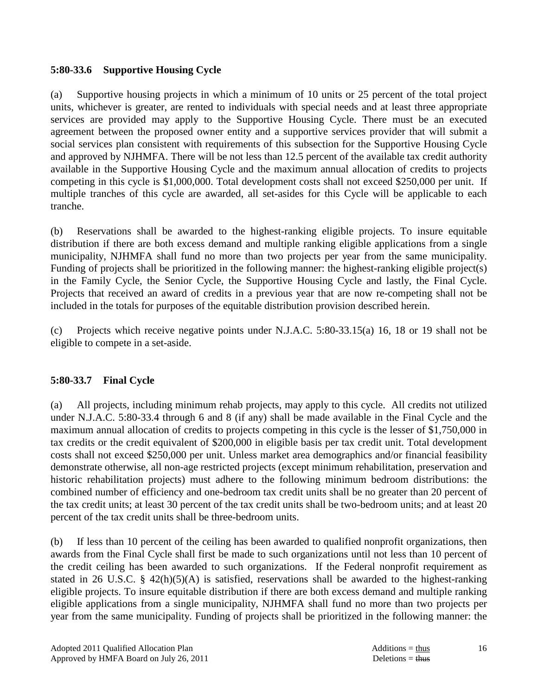### **5:80-33.6 Supportive Housing Cycle**

(a) Supportive housing projects in which a minimum of 10 units or 25 percent of the total project units, whichever is greater, are rented to individuals with special needs and at least three appropriate services are provided may apply to the Supportive Housing Cycle. There must be an executed agreement between the proposed owner entity and a supportive services provider that will submit a social services plan consistent with requirements of this subsection for the Supportive Housing Cycle and approved by NJHMFA. There will be not less than 12.5 percent of the available tax credit authority available in the Supportive Housing Cycle and the maximum annual allocation of credits to projects competing in this cycle is \$1,000,000. Total development costs shall not exceed \$250,000 per unit. If multiple tranches of this cycle are awarded, all set-asides for this Cycle will be applicable to each tranche.

(b) Reservations shall be awarded to the highest-ranking eligible projects. To insure equitable distribution if there are both excess demand and multiple ranking eligible applications from a single municipality, NJHMFA shall fund no more than two projects per year from the same municipality. Funding of projects shall be prioritized in the following manner: the highest-ranking eligible project(s) in the Family Cycle, the Senior Cycle, the Supportive Housing Cycle and lastly, the Final Cycle. Projects that received an award of credits in a previous year that are now re-competing shall not be included in the totals for purposes of the equitable distribution provision described herein.

(c) Projects which receive negative points under N.J.A.C. 5:80-33.15(a) 16, 18 or 19 shall not be eligible to compete in a set-aside.

# **5:80-33.7 Final Cycle**

(a) All projects, including minimum rehab projects, may apply to this cycle. All credits not utilized under N.J.A.C. 5:80-33.4 through 6 and 8 (if any) shall be made available in the Final Cycle and the maximum annual allocation of credits to projects competing in this cycle is the lesser of \$1,750,000 in tax credits or the credit equivalent of \$200,000 in eligible basis per tax credit unit. Total development costs shall not exceed \$250,000 per unit. Unless market area demographics and/or financial feasibility demonstrate otherwise, all non-age restricted projects (except minimum rehabilitation, preservation and historic rehabilitation projects) must adhere to the following minimum bedroom distributions: the combined number of efficiency and one-bedroom tax credit units shall be no greater than 20 percent of the tax credit units; at least 30 percent of the tax credit units shall be two-bedroom units; and at least 20 percent of the tax credit units shall be three-bedroom units.

(b) If less than 10 percent of the ceiling has been awarded to qualified nonprofit organizations, then awards from the Final Cycle shall first be made to such organizations until not less than 10 percent of the credit ceiling has been awarded to such organizations. If the Federal nonprofit requirement as stated in 26 U.S.C. § 42(h)(5)(A) is satisfied, reservations shall be awarded to the highest-ranking eligible projects. To insure equitable distribution if there are both excess demand and multiple ranking eligible applications from a single municipality, NJHMFA shall fund no more than two projects per year from the same municipality. Funding of projects shall be prioritized in the following manner: the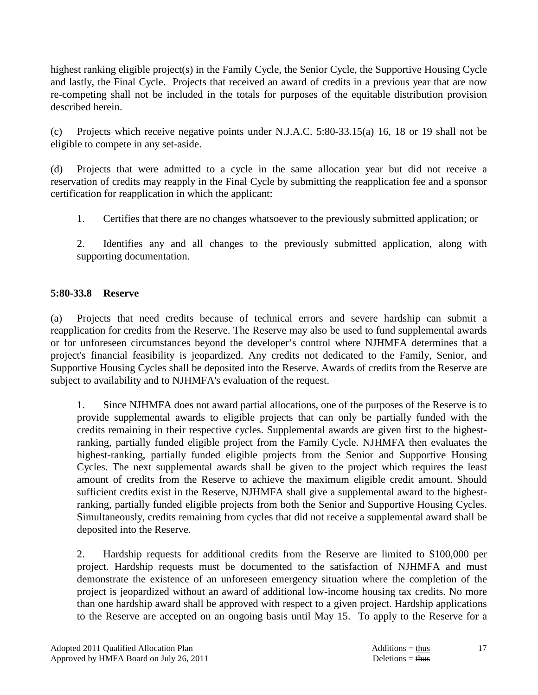highest ranking eligible project(s) in the Family Cycle, the Senior Cycle, the Supportive Housing Cycle and lastly, the Final Cycle. Projects that received an award of credits in a previous year that are now re-competing shall not be included in the totals for purposes of the equitable distribution provision described herein.

(c) Projects which receive negative points under N.J.A.C. 5:80-33.15(a) 16, 18 or 19 shall not be eligible to compete in any set-aside.

(d) Projects that were admitted to a cycle in the same allocation year but did not receive a reservation of credits may reapply in the Final Cycle by submitting the reapplication fee and a sponsor certification for reapplication in which the applicant:

1. Certifies that there are no changes whatsoever to the previously submitted application; or

 2. Identifies any and all changes to the previously submitted application, along with supporting documentation.

# **5:80-33.8 Reserve**

(a) Projects that need credits because of technical errors and severe hardship can submit a reapplication for credits from the Reserve. The Reserve may also be used to fund supplemental awards or for unforeseen circumstances beyond the developer's control where NJHMFA determines that a project's financial feasibility is jeopardized. Any credits not dedicated to the Family, Senior, and Supportive Housing Cycles shall be deposited into the Reserve. Awards of credits from the Reserve are subject to availability and to NJHMFA's evaluation of the request.

 1. Since NJHMFA does not award partial allocations, one of the purposes of the Reserve is to provide supplemental awards to eligible projects that can only be partially funded with the credits remaining in their respective cycles. Supplemental awards are given first to the highestranking, partially funded eligible project from the Family Cycle. NJHMFA then evaluates the highest-ranking, partially funded eligible projects from the Senior and Supportive Housing Cycles. The next supplemental awards shall be given to the project which requires the least amount of credits from the Reserve to achieve the maximum eligible credit amount. Should sufficient credits exist in the Reserve, NJHMFA shall give a supplemental award to the highestranking, partially funded eligible projects from both the Senior and Supportive Housing Cycles. Simultaneously, credits remaining from cycles that did not receive a supplemental award shall be deposited into the Reserve.

 2. Hardship requests for additional credits from the Reserve are limited to \$100,000 per project. Hardship requests must be documented to the satisfaction of NJHMFA and must demonstrate the existence of an unforeseen emergency situation where the completion of the project is jeopardized without an award of additional low-income housing tax credits. No more than one hardship award shall be approved with respect to a given project. Hardship applications to the Reserve are accepted on an ongoing basis until May 15. To apply to the Reserve for a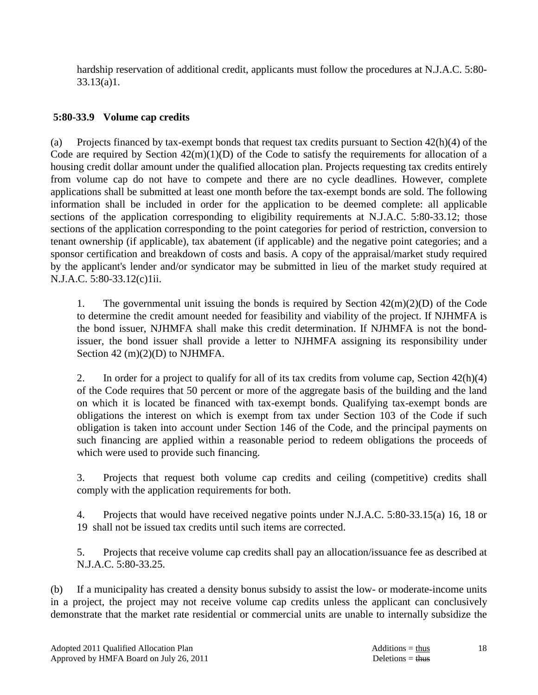hardship reservation of additional credit, applicants must follow the procedures at N.J.A.C. 5:80-  $33.13(a)1.$ 

# **5:80-33.9 Volume cap credits**

(a) Projects financed by tax-exempt bonds that request tax credits pursuant to Section 42(h)(4) of the Code are required by Section  $42(m)(1)(D)$  of the Code to satisfy the requirements for allocation of a housing credit dollar amount under the qualified allocation plan. Projects requesting tax credits entirely from volume cap do not have to compete and there are no cycle deadlines. However, complete applications shall be submitted at least one month before the tax-exempt bonds are sold. The following information shall be included in order for the application to be deemed complete: all applicable sections of the application corresponding to eligibility requirements at N.J.A.C. 5:80-33.12; those sections of the application corresponding to the point categories for period of restriction, conversion to tenant ownership (if applicable), tax abatement (if applicable) and the negative point categories; and a sponsor certification and breakdown of costs and basis. A copy of the appraisal/market study required by the applicant's lender and/or syndicator may be submitted in lieu of the market study required at N.J.A.C. 5:80-33.12(c)1ii.

1. The governmental unit issuing the bonds is required by Section  $42(m)(2)(D)$  of the Code to determine the credit amount needed for feasibility and viability of the project. If NJHMFA is the bond issuer, NJHMFA shall make this credit determination. If NJHMFA is not the bondissuer, the bond issuer shall provide a letter to NJHMFA assigning its responsibility under Section 42 (m)(2)(D) to NJHMFA.

 2. In order for a project to qualify for all of its tax credits from volume cap, Section 42(h)(4) of the Code requires that 50 percent or more of the aggregate basis of the building and the land on which it is located be financed with tax-exempt bonds. Qualifying tax-exempt bonds are obligations the interest on which is exempt from tax under Section 103 of the Code if such obligation is taken into account under Section 146 of the Code, and the principal payments on such financing are applied within a reasonable period to redeem obligations the proceeds of which were used to provide such financing.

 3. Projects that request both volume cap credits and ceiling (competitive) credits shall comply with the application requirements for both.

 4. Projects that would have received negative points under N.J.A.C. 5:80-33.15(a) 16, 18 or 19 shall not be issued tax credits until such items are corrected.

 5. Projects that receive volume cap credits shall pay an allocation/issuance fee as described at N.J.A.C. 5:80-33.25.

(b) If a municipality has created a density bonus subsidy to assist the low- or moderate-income units in a project, the project may not receive volume cap credits unless the applicant can conclusively demonstrate that the market rate residential or commercial units are unable to internally subsidize the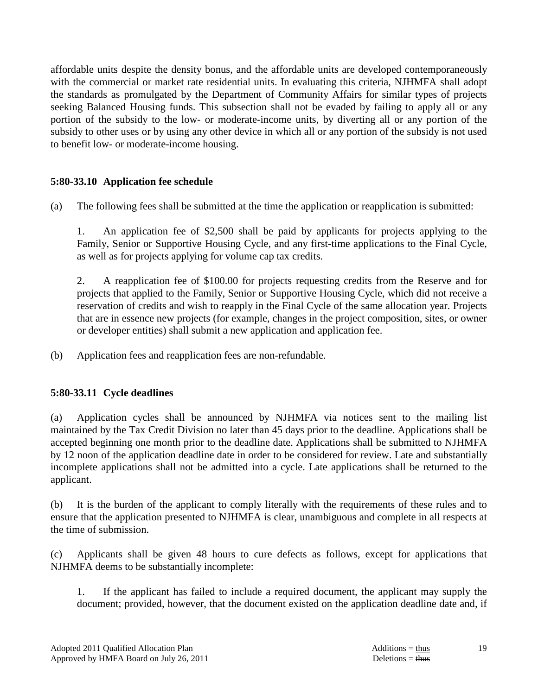affordable units despite the density bonus, and the affordable units are developed contemporaneously with the commercial or market rate residential units. In evaluating this criteria, NJHMFA shall adopt the standards as promulgated by the Department of Community Affairs for similar types of projects seeking Balanced Housing funds. This subsection shall not be evaded by failing to apply all or any portion of the subsidy to the low- or moderate-income units, by diverting all or any portion of the subsidy to other uses or by using any other device in which all or any portion of the subsidy is not used to benefit low- or moderate-income housing.

### **5:80-33.10 Application fee schedule**

(a) The following fees shall be submitted at the time the application or reapplication is submitted:

 1. An application fee of \$2,500 shall be paid by applicants for projects applying to the Family, Senior or Supportive Housing Cycle, and any first-time applications to the Final Cycle, as well as for projects applying for volume cap tax credits.

 2. A reapplication fee of \$100.00 for projects requesting credits from the Reserve and for projects that applied to the Family, Senior or Supportive Housing Cycle, which did not receive a reservation of credits and wish to reapply in the Final Cycle of the same allocation year. Projects that are in essence new projects (for example, changes in the project composition, sites, or owner or developer entities) shall submit a new application and application fee.

(b) Application fees and reapplication fees are non-refundable.

# **5:80-33.11 Cycle deadlines**

(a) Application cycles shall be announced by NJHMFA via notices sent to the mailing list maintained by the Tax Credit Division no later than 45 days prior to the deadline. Applications shall be accepted beginning one month prior to the deadline date. Applications shall be submitted to NJHMFA by 12 noon of the application deadline date in order to be considered for review. Late and substantially incomplete applications shall not be admitted into a cycle. Late applications shall be returned to the applicant.

(b) It is the burden of the applicant to comply literally with the requirements of these rules and to ensure that the application presented to NJHMFA is clear, unambiguous and complete in all respects at the time of submission.

(c) Applicants shall be given 48 hours to cure defects as follows, except for applications that NJHMFA deems to be substantially incomplete:

 1. If the applicant has failed to include a required document, the applicant may supply the document; provided, however, that the document existed on the application deadline date and, if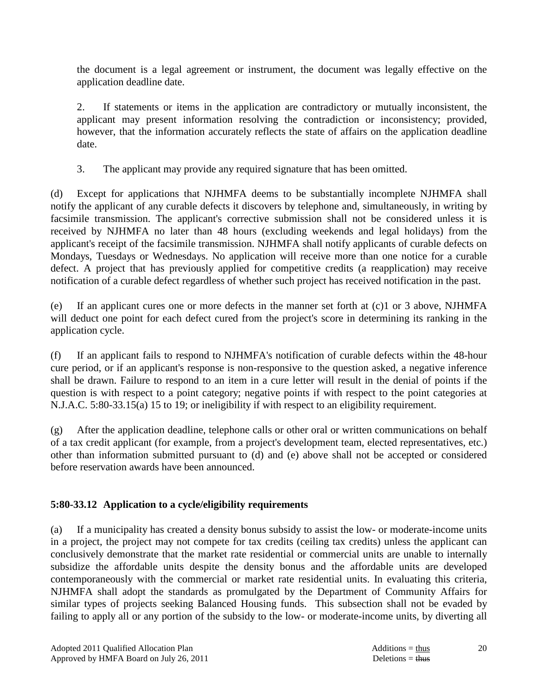the document is a legal agreement or instrument, the document was legally effective on the application deadline date.

 2. If statements or items in the application are contradictory or mutually inconsistent, the applicant may present information resolving the contradiction or inconsistency; provided, however, that the information accurately reflects the state of affairs on the application deadline date.

3. The applicant may provide any required signature that has been omitted.

(d) Except for applications that NJHMFA deems to be substantially incomplete NJHMFA shall notify the applicant of any curable defects it discovers by telephone and, simultaneously, in writing by facsimile transmission. The applicant's corrective submission shall not be considered unless it is received by NJHMFA no later than 48 hours (excluding weekends and legal holidays) from the applicant's receipt of the facsimile transmission. NJHMFA shall notify applicants of curable defects on Mondays, Tuesdays or Wednesdays. No application will receive more than one notice for a curable defect. A project that has previously applied for competitive credits (a reapplication) may receive notification of a curable defect regardless of whether such project has received notification in the past.

(e) If an applicant cures one or more defects in the manner set forth at (c)1 or 3 above, NJHMFA will deduct one point for each defect cured from the project's score in determining its ranking in the application cycle.

(f) If an applicant fails to respond to NJHMFA's notification of curable defects within the 48-hour cure period, or if an applicant's response is non-responsive to the question asked, a negative inference shall be drawn. Failure to respond to an item in a cure letter will result in the denial of points if the question is with respect to a point category; negative points if with respect to the point categories at N.J.A.C. 5:80-33.15(a) 15 to 19; or ineligibility if with respect to an eligibility requirement.

(g) After the application deadline, telephone calls or other oral or written communications on behalf of a tax credit applicant (for example, from a project's development team, elected representatives, etc.) other than information submitted pursuant to (d) and (e) above shall not be accepted or considered before reservation awards have been announced.

# **5:80-33.12 Application to a cycle/eligibility requirements**

(a) If a municipality has created a density bonus subsidy to assist the low- or moderate-income units in a project, the project may not compete for tax credits (ceiling tax credits) unless the applicant can conclusively demonstrate that the market rate residential or commercial units are unable to internally subsidize the affordable units despite the density bonus and the affordable units are developed contemporaneously with the commercial or market rate residential units. In evaluating this criteria, NJHMFA shall adopt the standards as promulgated by the Department of Community Affairs for similar types of projects seeking Balanced Housing funds. This subsection shall not be evaded by failing to apply all or any portion of the subsidy to the low- or moderate-income units, by diverting all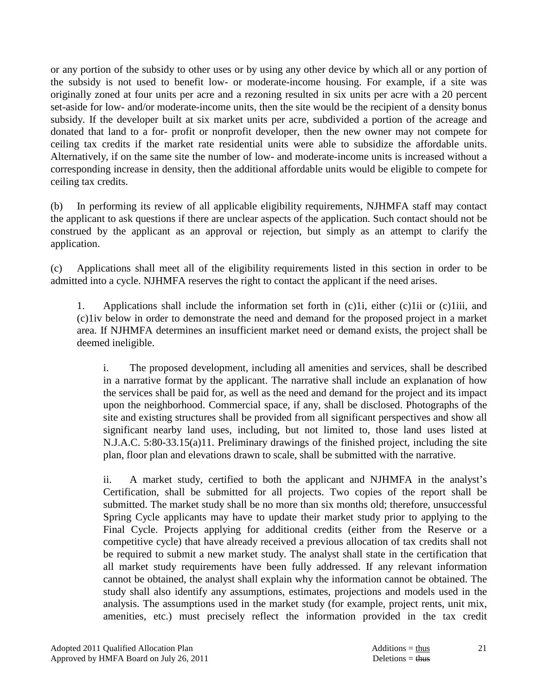or any portion of the subsidy to other uses or by using any other device by which all or any portion of the subsidy is not used to benefit low- or moderate-income housing. For example, if a site was originally zoned at four units per acre and a rezoning resulted in six units per acre with a 20 percent set-aside for low- and/or moderate-income units, then the site would be the recipient of a density bonus subsidy. If the developer built at six market units per acre, subdivided a portion of the acreage and donated that land to a for- profit or nonprofit developer, then the new owner may not compete for ceiling tax credits if the market rate residential units were able to subsidize the affordable units. Alternatively, if on the same site the number of low- and moderate-income units is increased without a corresponding increase in density, then the additional affordable units would be eligible to compete for ceiling tax credits.

(b) In performing its review of all applicable eligibility requirements, NJHMFA staff may contact the applicant to ask questions if there are unclear aspects of the application. Such contact should not be construed by the applicant as an approval or rejection, but simply as an attempt to clarify the application.

(c) Applications shall meet all of the eligibility requirements listed in this section in order to be admitted into a cycle. NJHMFA reserves the right to contact the applicant if the need arises.

 1. Applications shall include the information set forth in (c)1i, either (c)1ii or (c)1iii, and (c)1iv below in order to demonstrate the need and demand for the proposed project in a market area. If NJHMFA determines an insufficient market need or demand exists, the project shall be deemed ineligible.

 i. The proposed development, including all amenities and services, shall be described in a narrative format by the applicant. The narrative shall include an explanation of how the services shall be paid for, as well as the need and demand for the project and its impact upon the neighborhood. Commercial space, if any, shall be disclosed. Photographs of the site and existing structures shall be provided from all significant perspectives and show all significant nearby land uses, including, but not limited to, those land uses listed at N.J.A.C. 5:80-33.15(a)11. Preliminary drawings of the finished project, including the site plan, floor plan and elevations drawn to scale, shall be submitted with the narrative.

 ii. A market study, certified to both the applicant and NJHMFA in the analyst's Certification, shall be submitted for all projects. Two copies of the report shall be submitted. The market study shall be no more than six months old; therefore, unsuccessful Spring Cycle applicants may have to update their market study prior to applying to the Final Cycle. Projects applying for additional credits (either from the Reserve or a competitive cycle) that have already received a previous allocation of tax credits shall not be required to submit a new market study. The analyst shall state in the certification that all market study requirements have been fully addressed. If any relevant information cannot be obtained, the analyst shall explain why the information cannot be obtained. The study shall also identify any assumptions, estimates, projections and models used in the analysis. The assumptions used in the market study (for example, project rents, unit mix, amenities, etc.) must precisely reflect the information provided in the tax credit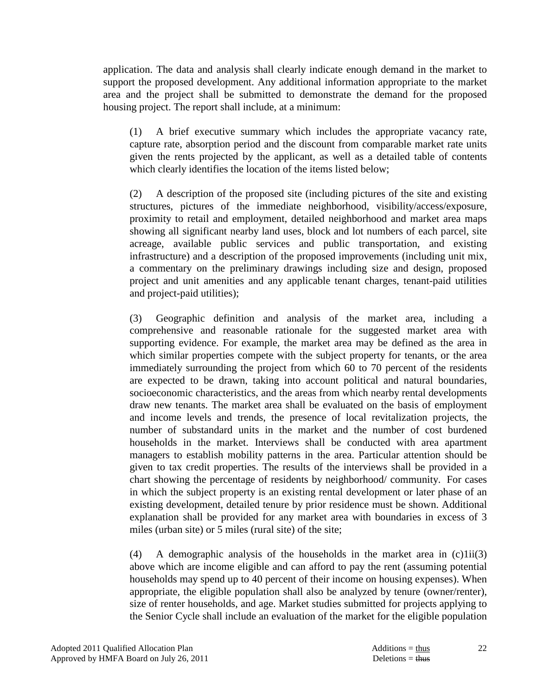application. The data and analysis shall clearly indicate enough demand in the market to support the proposed development. Any additional information appropriate to the market area and the project shall be submitted to demonstrate the demand for the proposed housing project. The report shall include, at a minimum:

 (1) A brief executive summary which includes the appropriate vacancy rate, capture rate, absorption period and the discount from comparable market rate units given the rents projected by the applicant, as well as a detailed table of contents which clearly identifies the location of the items listed below;

 (2) A description of the proposed site (including pictures of the site and existing structures, pictures of the immediate neighborhood, visibility/access/exposure, proximity to retail and employment, detailed neighborhood and market area maps showing all significant nearby land uses, block and lot numbers of each parcel, site acreage, available public services and public transportation, and existing infrastructure) and a description of the proposed improvements (including unit mix, a commentary on the preliminary drawings including size and design, proposed project and unit amenities and any applicable tenant charges, tenant-paid utilities and project-paid utilities);

 (3) Geographic definition and analysis of the market area, including a comprehensive and reasonable rationale for the suggested market area with supporting evidence. For example, the market area may be defined as the area in which similar properties compete with the subject property for tenants, or the area immediately surrounding the project from which 60 to 70 percent of the residents are expected to be drawn, taking into account political and natural boundaries, socioeconomic characteristics, and the areas from which nearby rental developments draw new tenants. The market area shall be evaluated on the basis of employment and income levels and trends, the presence of local revitalization projects, the number of substandard units in the market and the number of cost burdened households in the market. Interviews shall be conducted with area apartment managers to establish mobility patterns in the area. Particular attention should be given to tax credit properties. The results of the interviews shall be provided in a chart showing the percentage of residents by neighborhood/ community. For cases in which the subject property is an existing rental development or later phase of an existing development, detailed tenure by prior residence must be shown. Additional explanation shall be provided for any market area with boundaries in excess of 3 miles (urban site) or 5 miles (rural site) of the site;

(4) A demographic analysis of the households in the market area in  $(c)1ii(3)$ above which are income eligible and can afford to pay the rent (assuming potential households may spend up to 40 percent of their income on housing expenses). When appropriate, the eligible population shall also be analyzed by tenure (owner/renter), size of renter households, and age. Market studies submitted for projects applying to the Senior Cycle shall include an evaluation of the market for the eligible population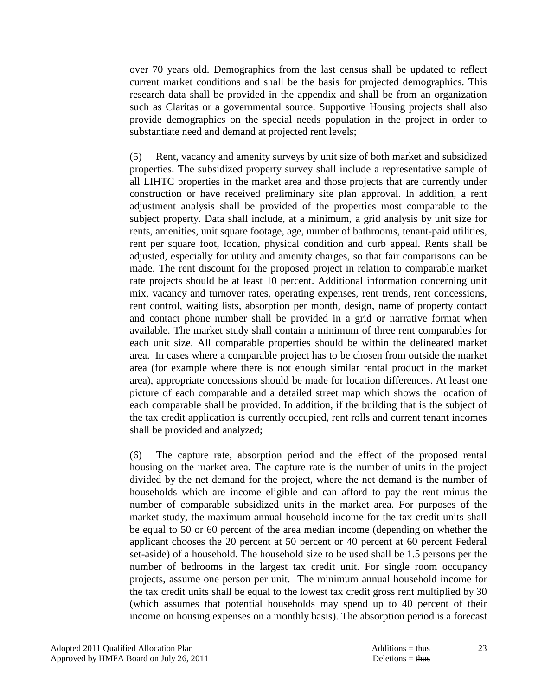over 70 years old. Demographics from the last census shall be updated to reflect current market conditions and shall be the basis for projected demographics. This research data shall be provided in the appendix and shall be from an organization such as Claritas or a governmental source. Supportive Housing projects shall also provide demographics on the special needs population in the project in order to substantiate need and demand at projected rent levels;

 (5) Rent, vacancy and amenity surveys by unit size of both market and subsidized properties. The subsidized property survey shall include a representative sample of all LIHTC properties in the market area and those projects that are currently under construction or have received preliminary site plan approval. In addition, a rent adjustment analysis shall be provided of the properties most comparable to the subject property. Data shall include, at a minimum, a grid analysis by unit size for rents, amenities, unit square footage, age, number of bathrooms, tenant-paid utilities, rent per square foot, location, physical condition and curb appeal. Rents shall be adjusted, especially for utility and amenity charges, so that fair comparisons can be made. The rent discount for the proposed project in relation to comparable market rate projects should be at least 10 percent. Additional information concerning unit mix, vacancy and turnover rates, operating expenses, rent trends, rent concessions, rent control, waiting lists, absorption per month, design, name of property contact and contact phone number shall be provided in a grid or narrative format when available. The market study shall contain a minimum of three rent comparables for each unit size. All comparable properties should be within the delineated market area. In cases where a comparable project has to be chosen from outside the market area (for example where there is not enough similar rental product in the market area), appropriate concessions should be made for location differences. At least one picture of each comparable and a detailed street map which shows the location of each comparable shall be provided. In addition, if the building that is the subject of the tax credit application is currently occupied, rent rolls and current tenant incomes shall be provided and analyzed;

 (6) The capture rate, absorption period and the effect of the proposed rental housing on the market area. The capture rate is the number of units in the project divided by the net demand for the project, where the net demand is the number of households which are income eligible and can afford to pay the rent minus the number of comparable subsidized units in the market area. For purposes of the market study, the maximum annual household income for the tax credit units shall be equal to 50 or 60 percent of the area median income (depending on whether the applicant chooses the 20 percent at 50 percent or 40 percent at 60 percent Federal set-aside) of a household. The household size to be used shall be 1.5 persons per the number of bedrooms in the largest tax credit unit. For single room occupancy projects, assume one person per unit. The minimum annual household income for the tax credit units shall be equal to the lowest tax credit gross rent multiplied by 30 (which assumes that potential households may spend up to 40 percent of their income on housing expenses on a monthly basis). The absorption period is a forecast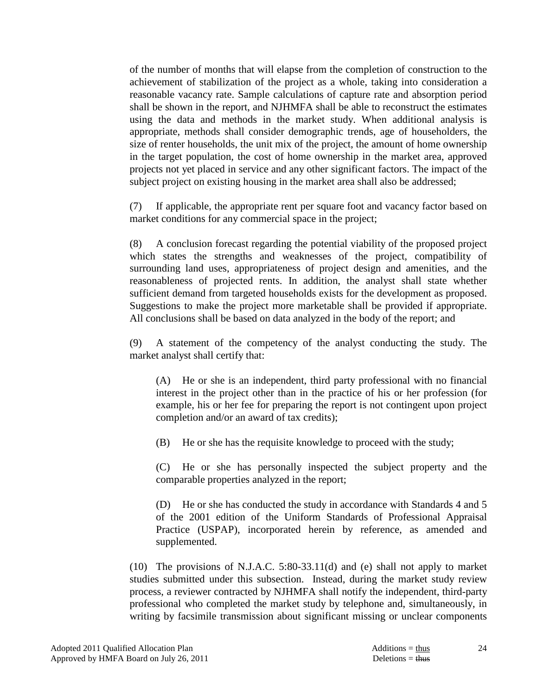of the number of months that will elapse from the completion of construction to the achievement of stabilization of the project as a whole, taking into consideration a reasonable vacancy rate. Sample calculations of capture rate and absorption period shall be shown in the report, and NJHMFA shall be able to reconstruct the estimates using the data and methods in the market study. When additional analysis is appropriate, methods shall consider demographic trends, age of householders, the size of renter households, the unit mix of the project, the amount of home ownership in the target population, the cost of home ownership in the market area, approved projects not yet placed in service and any other significant factors. The impact of the subject project on existing housing in the market area shall also be addressed;

 (7) If applicable, the appropriate rent per square foot and vacancy factor based on market conditions for any commercial space in the project;

 (8) A conclusion forecast regarding the potential viability of the proposed project which states the strengths and weaknesses of the project, compatibility of surrounding land uses, appropriateness of project design and amenities, and the reasonableness of projected rents. In addition, the analyst shall state whether sufficient demand from targeted households exists for the development as proposed. Suggestions to make the project more marketable shall be provided if appropriate. All conclusions shall be based on data analyzed in the body of the report; and

 (9) A statement of the competency of the analyst conducting the study. The market analyst shall certify that:

 (A) He or she is an independent, third party professional with no financial interest in the project other than in the practice of his or her profession (for example, his or her fee for preparing the report is not contingent upon project completion and/or an award of tax credits);

(B) He or she has the requisite knowledge to proceed with the study;

 (C) He or she has personally inspected the subject property and the comparable properties analyzed in the report;

 (D) He or she has conducted the study in accordance with Standards 4 and 5 of the 2001 edition of the Uniform Standards of Professional Appraisal Practice (USPAP), incorporated herein by reference, as amended and supplemented.

 (10) The provisions of N.J.A.C. 5:80-33.11(d) and (e) shall not apply to market studies submitted under this subsection. Instead, during the market study review process, a reviewer contracted by NJHMFA shall notify the independent, third-party professional who completed the market study by telephone and, simultaneously, in writing by facsimile transmission about significant missing or unclear components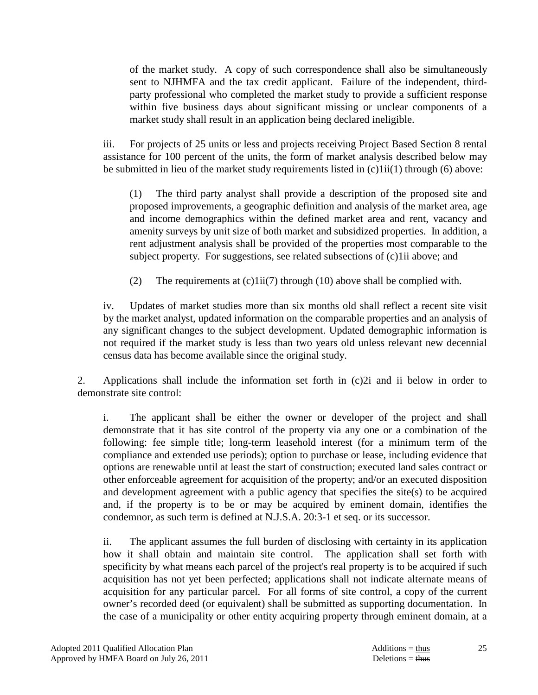of the market study. A copy of such correspondence shall also be simultaneously sent to NJHMFA and the tax credit applicant. Failure of the independent, thirdparty professional who completed the market study to provide a sufficient response within five business days about significant missing or unclear components of a market study shall result in an application being declared ineligible.

 iii. For projects of 25 units or less and projects receiving Project Based Section 8 rental assistance for 100 percent of the units, the form of market analysis described below may be submitted in lieu of the market study requirements listed in (c)1ii(1) through (6) above:

 (1) The third party analyst shall provide a description of the proposed site and proposed improvements, a geographic definition and analysis of the market area, age and income demographics within the defined market area and rent, vacancy and amenity surveys by unit size of both market and subsidized properties. In addition, a rent adjustment analysis shall be provided of the properties most comparable to the subject property. For suggestions, see related subsections of (c)1ii above; and

(2) The requirements at  $(c)$ 1ii(7) through (10) above shall be complied with.

 iv. Updates of market studies more than six months old shall reflect a recent site visit by the market analyst, updated information on the comparable properties and an analysis of any significant changes to the subject development. Updated demographic information is not required if the market study is less than two years old unless relevant new decennial census data has become available since the original study.

 2. Applications shall include the information set forth in (c)2i and ii below in order to demonstrate site control:

 i. The applicant shall be either the owner or developer of the project and shall demonstrate that it has site control of the property via any one or a combination of the following: fee simple title; long-term leasehold interest (for a minimum term of the compliance and extended use periods); option to purchase or lease, including evidence that options are renewable until at least the start of construction; executed land sales contract or other enforceable agreement for acquisition of the property; and/or an executed disposition and development agreement with a public agency that specifies the site(s) to be acquired and, if the property is to be or may be acquired by eminent domain, identifies the condemnor, as such term is defined at N.J.S.A. 20:3-1 et seq. or its successor.

 ii. The applicant assumes the full burden of disclosing with certainty in its application how it shall obtain and maintain site control. The application shall set forth with specificity by what means each parcel of the project's real property is to be acquired if such acquisition has not yet been perfected; applications shall not indicate alternate means of acquisition for any particular parcel. For all forms of site control, a copy of the current owner's recorded deed (or equivalent) shall be submitted as supporting documentation. In the case of a municipality or other entity acquiring property through eminent domain, at a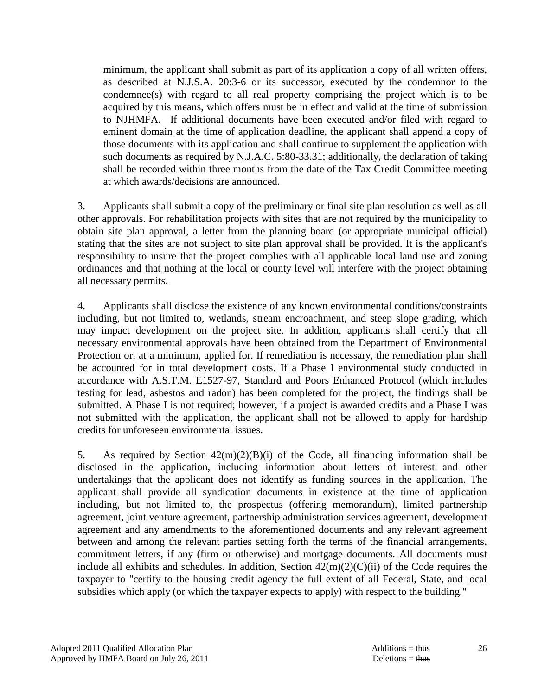minimum, the applicant shall submit as part of its application a copy of all written offers, as described at N.J.S.A. 20:3-6 or its successor, executed by the condemnor to the condemnee(s) with regard to all real property comprising the project which is to be acquired by this means, which offers must be in effect and valid at the time of submission to NJHMFA. If additional documents have been executed and/or filed with regard to eminent domain at the time of application deadline, the applicant shall append a copy of those documents with its application and shall continue to supplement the application with such documents as required by N.J.A.C. 5:80-33.31; additionally, the declaration of taking shall be recorded within three months from the date of the Tax Credit Committee meeting at which awards/decisions are announced.

 3. Applicants shall submit a copy of the preliminary or final site plan resolution as well as all other approvals. For rehabilitation projects with sites that are not required by the municipality to obtain site plan approval, a letter from the planning board (or appropriate municipal official) stating that the sites are not subject to site plan approval shall be provided. It is the applicant's responsibility to insure that the project complies with all applicable local land use and zoning ordinances and that nothing at the local or county level will interfere with the project obtaining all necessary permits.

 4. Applicants shall disclose the existence of any known environmental conditions/constraints including, but not limited to, wetlands, stream encroachment, and steep slope grading, which may impact development on the project site. In addition, applicants shall certify that all necessary environmental approvals have been obtained from the Department of Environmental Protection or, at a minimum, applied for. If remediation is necessary, the remediation plan shall be accounted for in total development costs. If a Phase I environmental study conducted in accordance with A.S.T.M. E1527-97, Standard and Poors Enhanced Protocol (which includes testing for lead, asbestos and radon) has been completed for the project, the findings shall be submitted. A Phase I is not required; however, if a project is awarded credits and a Phase I was not submitted with the application, the applicant shall not be allowed to apply for hardship credits for unforeseen environmental issues.

 5. As required by Section 42(m)(2)(B)(i) of the Code, all financing information shall be disclosed in the application, including information about letters of interest and other undertakings that the applicant does not identify as funding sources in the application. The applicant shall provide all syndication documents in existence at the time of application including, but not limited to, the prospectus (offering memorandum), limited partnership agreement, joint venture agreement, partnership administration services agreement, development agreement and any amendments to the aforementioned documents and any relevant agreement between and among the relevant parties setting forth the terms of the financial arrangements, commitment letters, if any (firm or otherwise) and mortgage documents. All documents must include all exhibits and schedules. In addition, Section  $42(m)(2)(C)(ii)$  of the Code requires the taxpayer to "certify to the housing credit agency the full extent of all Federal, State, and local subsidies which apply (or which the taxpayer expects to apply) with respect to the building."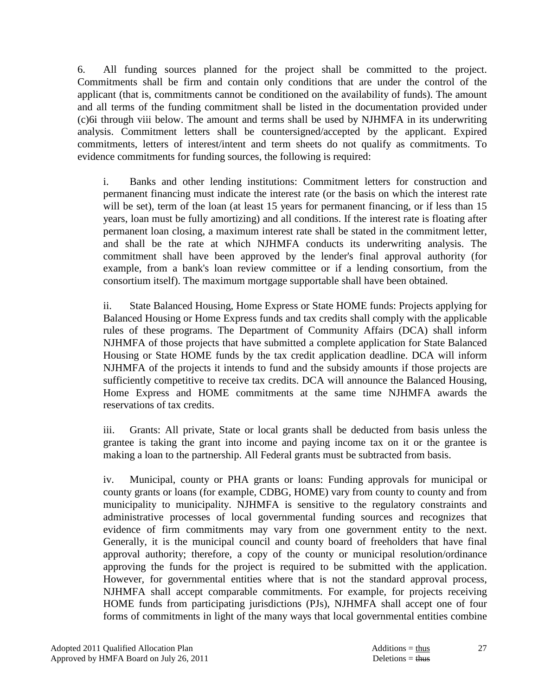6. All funding sources planned for the project shall be committed to the project. Commitments shall be firm and contain only conditions that are under the control of the applicant (that is, commitments cannot be conditioned on the availability of funds). The amount and all terms of the funding commitment shall be listed in the documentation provided under (c)6i through viii below. The amount and terms shall be used by NJHMFA in its underwriting analysis. Commitment letters shall be countersigned/accepted by the applicant. Expired commitments, letters of interest/intent and term sheets do not qualify as commitments. To evidence commitments for funding sources, the following is required:

 i. Banks and other lending institutions: Commitment letters for construction and permanent financing must indicate the interest rate (or the basis on which the interest rate will be set), term of the loan (at least 15 years for permanent financing, or if less than 15 years, loan must be fully amortizing) and all conditions. If the interest rate is floating after permanent loan closing, a maximum interest rate shall be stated in the commitment letter, and shall be the rate at which NJHMFA conducts its underwriting analysis. The commitment shall have been approved by the lender's final approval authority (for example, from a bank's loan review committee or if a lending consortium, from the consortium itself). The maximum mortgage supportable shall have been obtained.

 ii. State Balanced Housing, Home Express or State HOME funds: Projects applying for Balanced Housing or Home Express funds and tax credits shall comply with the applicable rules of these programs. The Department of Community Affairs (DCA) shall inform NJHMFA of those projects that have submitted a complete application for State Balanced Housing or State HOME funds by the tax credit application deadline. DCA will inform NJHMFA of the projects it intends to fund and the subsidy amounts if those projects are sufficiently competitive to receive tax credits. DCA will announce the Balanced Housing, Home Express and HOME commitments at the same time NJHMFA awards the reservations of tax credits.

 iii. Grants: All private, State or local grants shall be deducted from basis unless the grantee is taking the grant into income and paying income tax on it or the grantee is making a loan to the partnership. All Federal grants must be subtracted from basis.

 iv. Municipal, county or PHA grants or loans: Funding approvals for municipal or county grants or loans (for example, CDBG, HOME) vary from county to county and from municipality to municipality. NJHMFA is sensitive to the regulatory constraints and administrative processes of local governmental funding sources and recognizes that evidence of firm commitments may vary from one government entity to the next. Generally, it is the municipal council and county board of freeholders that have final approval authority; therefore, a copy of the county or municipal resolution/ordinance approving the funds for the project is required to be submitted with the application. However, for governmental entities where that is not the standard approval process, NJHMFA shall accept comparable commitments. For example, for projects receiving HOME funds from participating jurisdictions (PJs), NJHMFA shall accept one of four forms of commitments in light of the many ways that local governmental entities combine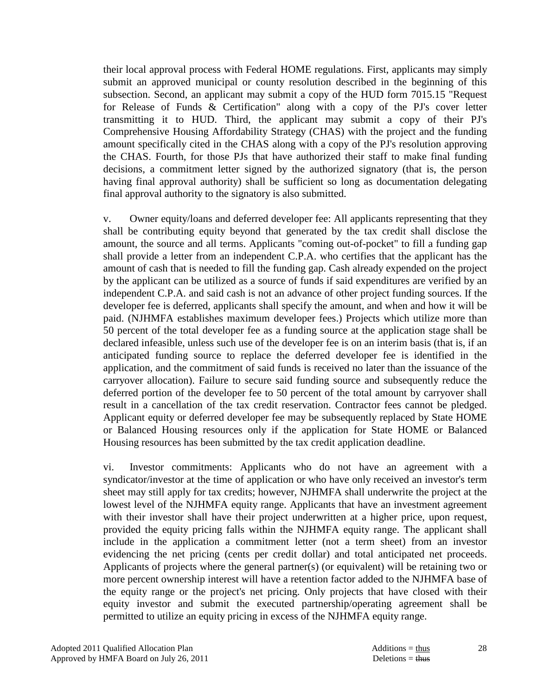their local approval process with Federal HOME regulations. First, applicants may simply submit an approved municipal or county resolution described in the beginning of this subsection. Second, an applicant may submit a copy of the HUD form 7015.15 "Request for Release of Funds & Certification" along with a copy of the PJ's cover letter transmitting it to HUD. Third, the applicant may submit a copy of their PJ's Comprehensive Housing Affordability Strategy (CHAS) with the project and the funding amount specifically cited in the CHAS along with a copy of the PJ's resolution approving the CHAS. Fourth, for those PJs that have authorized their staff to make final funding decisions, a commitment letter signed by the authorized signatory (that is, the person having final approval authority) shall be sufficient so long as documentation delegating final approval authority to the signatory is also submitted.

 v. Owner equity/loans and deferred developer fee: All applicants representing that they shall be contributing equity beyond that generated by the tax credit shall disclose the amount, the source and all terms. Applicants "coming out-of-pocket" to fill a funding gap shall provide a letter from an independent C.P.A. who certifies that the applicant has the amount of cash that is needed to fill the funding gap. Cash already expended on the project by the applicant can be utilized as a source of funds if said expenditures are verified by an independent C.P.A. and said cash is not an advance of other project funding sources. If the developer fee is deferred, applicants shall specify the amount, and when and how it will be paid. (NJHMFA establishes maximum developer fees.) Projects which utilize more than 50 percent of the total developer fee as a funding source at the application stage shall be declared infeasible, unless such use of the developer fee is on an interim basis (that is, if an anticipated funding source to replace the deferred developer fee is identified in the application, and the commitment of said funds is received no later than the issuance of the carryover allocation). Failure to secure said funding source and subsequently reduce the deferred portion of the developer fee to 50 percent of the total amount by carryover shall result in a cancellation of the tax credit reservation. Contractor fees cannot be pledged. Applicant equity or deferred developer fee may be subsequently replaced by State HOME or Balanced Housing resources only if the application for State HOME or Balanced Housing resources has been submitted by the tax credit application deadline.

 vi. Investor commitments: Applicants who do not have an agreement with a syndicator/investor at the time of application or who have only received an investor's term sheet may still apply for tax credits; however, NJHMFA shall underwrite the project at the lowest level of the NJHMFA equity range. Applicants that have an investment agreement with their investor shall have their project underwritten at a higher price, upon request, provided the equity pricing falls within the NJHMFA equity range. The applicant shall include in the application a commitment letter (not a term sheet) from an investor evidencing the net pricing (cents per credit dollar) and total anticipated net proceeds. Applicants of projects where the general partner(s) (or equivalent) will be retaining two or more percent ownership interest will have a retention factor added to the NJHMFA base of the equity range or the project's net pricing. Only projects that have closed with their equity investor and submit the executed partnership/operating agreement shall be permitted to utilize an equity pricing in excess of the NJHMFA equity range.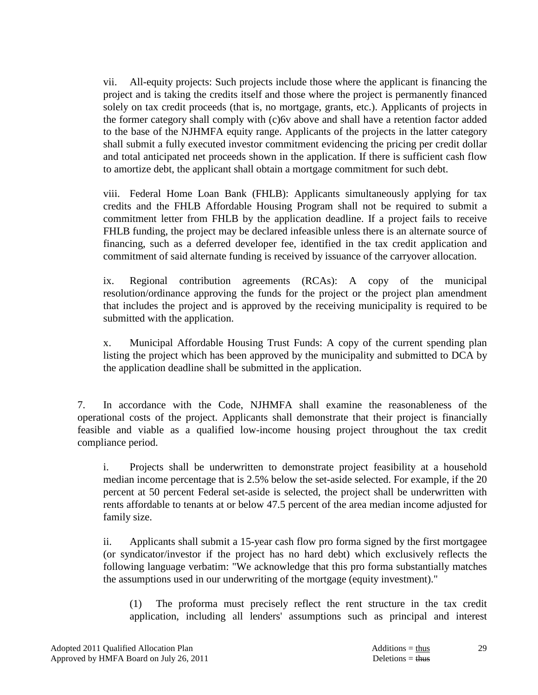vii. All-equity projects: Such projects include those where the applicant is financing the project and is taking the credits itself and those where the project is permanently financed solely on tax credit proceeds (that is, no mortgage, grants, etc.). Applicants of projects in the former category shall comply with (c)6v above and shall have a retention factor added to the base of the NJHMFA equity range. Applicants of the projects in the latter category shall submit a fully executed investor commitment evidencing the pricing per credit dollar and total anticipated net proceeds shown in the application. If there is sufficient cash flow to amortize debt, the applicant shall obtain a mortgage commitment for such debt.

 viii. Federal Home Loan Bank (FHLB): Applicants simultaneously applying for tax credits and the FHLB Affordable Housing Program shall not be required to submit a commitment letter from FHLB by the application deadline. If a project fails to receive FHLB funding, the project may be declared infeasible unless there is an alternate source of financing, such as a deferred developer fee, identified in the tax credit application and commitment of said alternate funding is received by issuance of the carryover allocation.

 ix. Regional contribution agreements (RCAs): A copy of the municipal resolution/ordinance approving the funds for the project or the project plan amendment that includes the project and is approved by the receiving municipality is required to be submitted with the application.

 x. Municipal Affordable Housing Trust Funds: A copy of the current spending plan listing the project which has been approved by the municipality and submitted to DCA by the application deadline shall be submitted in the application.

 7. In accordance with the Code, NJHMFA shall examine the reasonableness of the operational costs of the project. Applicants shall demonstrate that their project is financially feasible and viable as a qualified low-income housing project throughout the tax credit compliance period.

 i. Projects shall be underwritten to demonstrate project feasibility at a household median income percentage that is 2.5% below the set-aside selected. For example, if the 20 percent at 50 percent Federal set-aside is selected, the project shall be underwritten with rents affordable to tenants at or below 47.5 percent of the area median income adjusted for family size.

 ii. Applicants shall submit a 15-year cash flow pro forma signed by the first mortgagee (or syndicator/investor if the project has no hard debt) which exclusively reflects the following language verbatim: "We acknowledge that this pro forma substantially matches the assumptions used in our underwriting of the mortgage (equity investment)."

 (1) The proforma must precisely reflect the rent structure in the tax credit application, including all lenders' assumptions such as principal and interest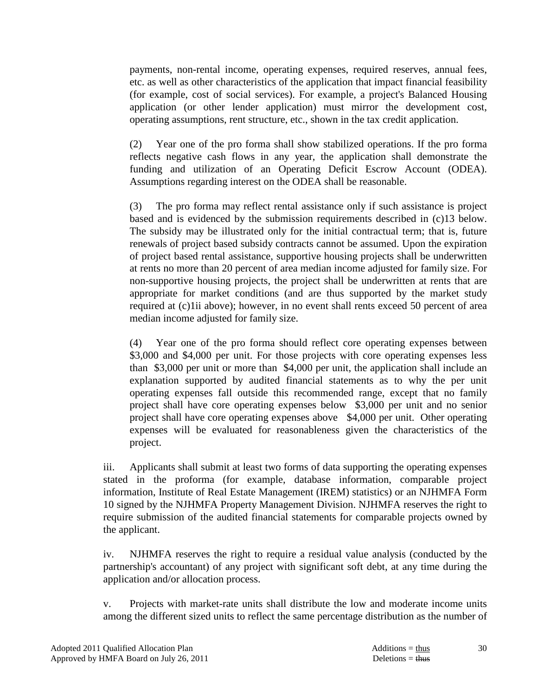payments, non-rental income, operating expenses, required reserves, annual fees, etc. as well as other characteristics of the application that impact financial feasibility (for example, cost of social services). For example, a project's Balanced Housing application (or other lender application) must mirror the development cost, operating assumptions, rent structure, etc., shown in the tax credit application.

 (2) Year one of the pro forma shall show stabilized operations. If the pro forma reflects negative cash flows in any year, the application shall demonstrate the funding and utilization of an Operating Deficit Escrow Account (ODEA). Assumptions regarding interest on the ODEA shall be reasonable.

 (3) The pro forma may reflect rental assistance only if such assistance is project based and is evidenced by the submission requirements described in (c)13 below. The subsidy may be illustrated only for the initial contractual term; that is, future renewals of project based subsidy contracts cannot be assumed. Upon the expiration of project based rental assistance, supportive housing projects shall be underwritten at rents no more than 20 percent of area median income adjusted for family size. For non-supportive housing projects, the project shall be underwritten at rents that are appropriate for market conditions (and are thus supported by the market study required at (c)1ii above); however, in no event shall rents exceed 50 percent of area median income adjusted for family size.

 (4) Year one of the pro forma should reflect core operating expenses between \$3,000 and \$4,000 per unit. For those projects with core operating expenses less than \$3,000 per unit or more than \$4,000 per unit, the application shall include an explanation supported by audited financial statements as to why the per unit operating expenses fall outside this recommended range, except that no family project shall have core operating expenses below \$3,000 per unit and no senior project shall have core operating expenses above \$4,000 per unit. Other operating expenses will be evaluated for reasonableness given the characteristics of the project.

 iii. Applicants shall submit at least two forms of data supporting the operating expenses stated in the proforma (for example, database information, comparable project information, Institute of Real Estate Management (IREM) statistics) or an NJHMFA Form 10 signed by the NJHMFA Property Management Division. NJHMFA reserves the right to require submission of the audited financial statements for comparable projects owned by the applicant.

 iv. NJHMFA reserves the right to require a residual value analysis (conducted by the partnership's accountant) of any project with significant soft debt, at any time during the application and/or allocation process.

 v. Projects with market-rate units shall distribute the low and moderate income units among the different sized units to reflect the same percentage distribution as the number of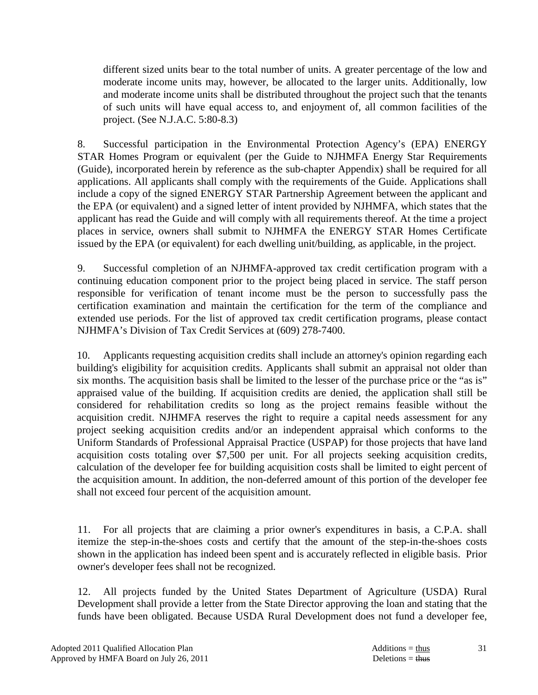different sized units bear to the total number of units. A greater percentage of the low and moderate income units may, however, be allocated to the larger units. Additionally, low and moderate income units shall be distributed throughout the project such that the tenants of such units will have equal access to, and enjoyment of, all common facilities of the project. (See N.J.A.C. 5:80-8.3)

 8. Successful participation in the Environmental Protection Agency's (EPA) ENERGY STAR Homes Program or equivalent (per the Guide to NJHMFA Energy Star Requirements (Guide), incorporated herein by reference as the sub-chapter Appendix) shall be required for all applications. All applicants shall comply with the requirements of the Guide. Applications shall include a copy of the signed ENERGY STAR Partnership Agreement between the applicant and the EPA (or equivalent) and a signed letter of intent provided by NJHMFA, which states that the applicant has read the Guide and will comply with all requirements thereof. At the time a project places in service, owners shall submit to NJHMFA the ENERGY STAR Homes Certificate issued by the EPA (or equivalent) for each dwelling unit/building, as applicable, in the project.

 9. Successful completion of an NJHMFA-approved tax credit certification program with a continuing education component prior to the project being placed in service. The staff person responsible for verification of tenant income must be the person to successfully pass the certification examination and maintain the certification for the term of the compliance and extended use periods. For the list of approved tax credit certification programs, please contact NJHMFA's Division of Tax Credit Services at (609) 278-7400.

 10. Applicants requesting acquisition credits shall include an attorney's opinion regarding each building's eligibility for acquisition credits. Applicants shall submit an appraisal not older than six months. The acquisition basis shall be limited to the lesser of the purchase price or the "as is" appraised value of the building. If acquisition credits are denied, the application shall still be considered for rehabilitation credits so long as the project remains feasible without the acquisition credit. NJHMFA reserves the right to require a capital needs assessment for any project seeking acquisition credits and/or an independent appraisal which conforms to the Uniform Standards of Professional Appraisal Practice (USPAP) for those projects that have land acquisition costs totaling over \$7,500 per unit. For all projects seeking acquisition credits, calculation of the developer fee for building acquisition costs shall be limited to eight percent of the acquisition amount. In addition, the non-deferred amount of this portion of the developer fee shall not exceed four percent of the acquisition amount.

 11. For all projects that are claiming a prior owner's expenditures in basis, a C.P.A. shall itemize the step-in-the-shoes costs and certify that the amount of the step-in-the-shoes costs shown in the application has indeed been spent and is accurately reflected in eligible basis. Prior owner's developer fees shall not be recognized.

 12. All projects funded by the United States Department of Agriculture (USDA) Rural Development shall provide a letter from the State Director approving the loan and stating that the funds have been obligated. Because USDA Rural Development does not fund a developer fee,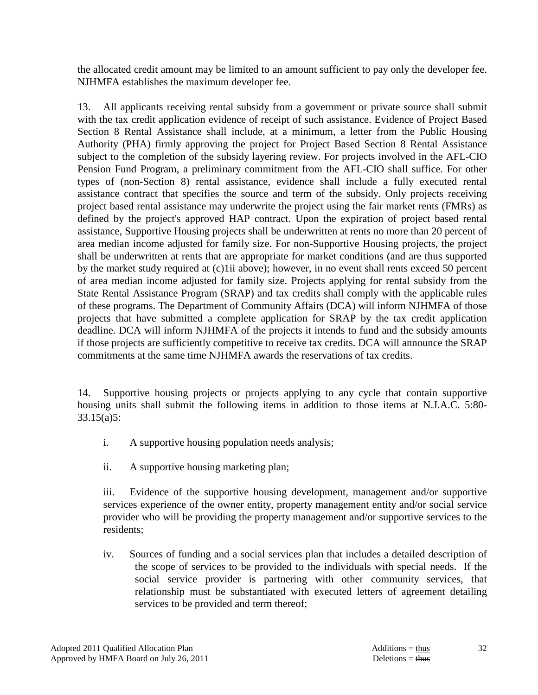the allocated credit amount may be limited to an amount sufficient to pay only the developer fee. NJHMFA establishes the maximum developer fee.

 13. All applicants receiving rental subsidy from a government or private source shall submit with the tax credit application evidence of receipt of such assistance. Evidence of Project Based Section 8 Rental Assistance shall include, at a minimum, a letter from the Public Housing Authority (PHA) firmly approving the project for Project Based Section 8 Rental Assistance subject to the completion of the subsidy layering review. For projects involved in the AFL-CIO Pension Fund Program, a preliminary commitment from the AFL-CIO shall suffice. For other types of (non-Section 8) rental assistance, evidence shall include a fully executed rental assistance contract that specifies the source and term of the subsidy. Only projects receiving project based rental assistance may underwrite the project using the fair market rents (FMRs) as defined by the project's approved HAP contract. Upon the expiration of project based rental assistance, Supportive Housing projects shall be underwritten at rents no more than 20 percent of area median income adjusted for family size. For non-Supportive Housing projects, the project shall be underwritten at rents that are appropriate for market conditions (and are thus supported by the market study required at (c)1ii above); however, in no event shall rents exceed 50 percent of area median income adjusted for family size. Projects applying for rental subsidy from the State Rental Assistance Program (SRAP) and tax credits shall comply with the applicable rules of these programs. The Department of Community Affairs (DCA) will inform NJHMFA of those projects that have submitted a complete application for SRAP by the tax credit application deadline. DCA will inform NJHMFA of the projects it intends to fund and the subsidy amounts if those projects are sufficiently competitive to receive tax credits. DCA will announce the SRAP commitments at the same time NJHMFA awards the reservations of tax credits.

 14. Supportive housing projects or projects applying to any cycle that contain supportive housing units shall submit the following items in addition to those items at N.J.A.C. 5:80- 33.15(a)5:

- i. A supportive housing population needs analysis;
- ii. A supportive housing marketing plan;

 iii. Evidence of the supportive housing development, management and/or supportive services experience of the owner entity, property management entity and/or social service provider who will be providing the property management and/or supportive services to the residents;

iv. Sources of funding and a social services plan that includes a detailed description of the scope of services to be provided to the individuals with special needs. If the social service provider is partnering with other community services, that relationship must be substantiated with executed letters of agreement detailing services to be provided and term thereof;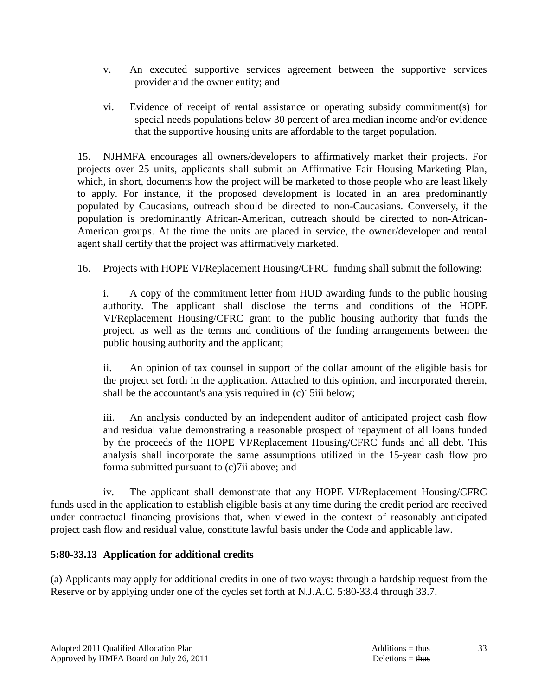- v. An executed supportive services agreement between the supportive services provider and the owner entity; and
- vi. Evidence of receipt of rental assistance or operating subsidy commitment(s) for special needs populations below 30 percent of area median income and/or evidence that the supportive housing units are affordable to the target population.

 15. NJHMFA encourages all owners/developers to affirmatively market their projects. For projects over 25 units, applicants shall submit an Affirmative Fair Housing Marketing Plan, which, in short, documents how the project will be marketed to those people who are least likely to apply. For instance, if the proposed development is located in an area predominantly populated by Caucasians, outreach should be directed to non-Caucasians. Conversely, if the population is predominantly African-American, outreach should be directed to non-African-American groups. At the time the units are placed in service, the owner/developer and rental agent shall certify that the project was affirmatively marketed.

16. Projects with HOPE VI/Replacement Housing/CFRC funding shall submit the following:

 i. A copy of the commitment letter from HUD awarding funds to the public housing authority. The applicant shall disclose the terms and conditions of the HOPE VI/Replacement Housing/CFRC grant to the public housing authority that funds the project, as well as the terms and conditions of the funding arrangements between the public housing authority and the applicant;

 ii. An opinion of tax counsel in support of the dollar amount of the eligible basis for the project set forth in the application. Attached to this opinion, and incorporated therein, shall be the accountant's analysis required in (c)15iii below;

 iii. An analysis conducted by an independent auditor of anticipated project cash flow and residual value demonstrating a reasonable prospect of repayment of all loans funded by the proceeds of the HOPE VI/Replacement Housing/CFRC funds and all debt. This analysis shall incorporate the same assumptions utilized in the 15-year cash flow pro forma submitted pursuant to (c)7ii above; and

 iv. The applicant shall demonstrate that any HOPE VI/Replacement Housing/CFRC funds used in the application to establish eligible basis at any time during the credit period are received under contractual financing provisions that, when viewed in the context of reasonably anticipated project cash flow and residual value, constitute lawful basis under the Code and applicable law.

### **5:80-33.13 Application for additional credits**

(a) Applicants may apply for additional credits in one of two ways: through a hardship request from the Reserve or by applying under one of the cycles set forth at N.J.A.C. 5:80-33.4 through 33.7.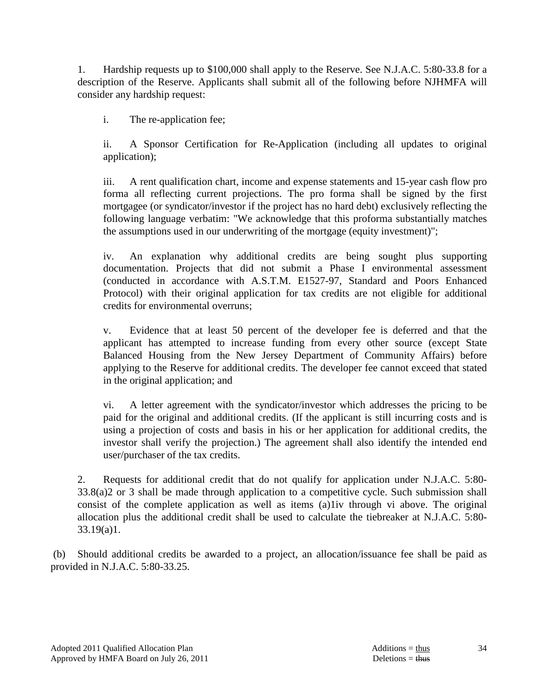1. Hardship requests up to \$100,000 shall apply to the Reserve. See N.J.A.C. 5:80-33.8 for a description of the Reserve. Applicants shall submit all of the following before NJHMFA will consider any hardship request:

i. The re-application fee;

 ii. A Sponsor Certification for Re-Application (including all updates to original application);

 iii. A rent qualification chart, income and expense statements and 15-year cash flow pro forma all reflecting current projections. The pro forma shall be signed by the first mortgagee (or syndicator/investor if the project has no hard debt) exclusively reflecting the following language verbatim: "We acknowledge that this proforma substantially matches the assumptions used in our underwriting of the mortgage (equity investment)";

 iv. An explanation why additional credits are being sought plus supporting documentation. Projects that did not submit a Phase I environmental assessment (conducted in accordance with A.S.T.M. E1527-97, Standard and Poors Enhanced Protocol) with their original application for tax credits are not eligible for additional credits for environmental overruns;

 v. Evidence that at least 50 percent of the developer fee is deferred and that the applicant has attempted to increase funding from every other source (except State Balanced Housing from the New Jersey Department of Community Affairs) before applying to the Reserve for additional credits. The developer fee cannot exceed that stated in the original application; and

 vi. A letter agreement with the syndicator/investor which addresses the pricing to be paid for the original and additional credits. (If the applicant is still incurring costs and is using a projection of costs and basis in his or her application for additional credits, the investor shall verify the projection.) The agreement shall also identify the intended end user/purchaser of the tax credits.

 2. Requests for additional credit that do not qualify for application under N.J.A.C. 5:80- 33.8(a)2 or 3 shall be made through application to a competitive cycle. Such submission shall consist of the complete application as well as items (a)1iv through vi above. The original allocation plus the additional credit shall be used to calculate the tiebreaker at N.J.A.C. 5:80- 33.19(a)1.

 (b) Should additional credits be awarded to a project, an allocation/issuance fee shall be paid as provided in N.J.A.C. 5:80-33.25.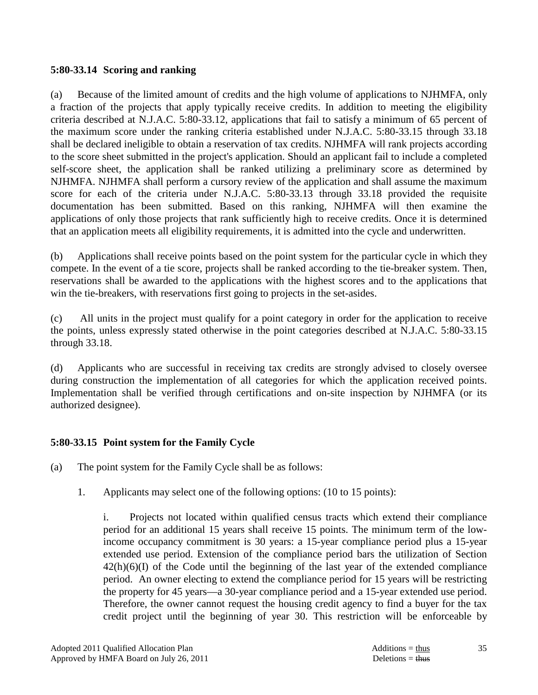#### **5:80-33.14 Scoring and ranking**

(a) Because of the limited amount of credits and the high volume of applications to NJHMFA, only a fraction of the projects that apply typically receive credits. In addition to meeting the eligibility criteria described at N.J.A.C. 5:80-33.12, applications that fail to satisfy a minimum of 65 percent of the maximum score under the ranking criteria established under N.J.A.C. 5:80-33.15 through 33.18 shall be declared ineligible to obtain a reservation of tax credits. NJHMFA will rank projects according to the score sheet submitted in the project's application. Should an applicant fail to include a completed self-score sheet, the application shall be ranked utilizing a preliminary score as determined by NJHMFA. NJHMFA shall perform a cursory review of the application and shall assume the maximum score for each of the criteria under N.J.A.C. 5:80-33.13 through 33.18 provided the requisite documentation has been submitted. Based on this ranking, NJHMFA will then examine the applications of only those projects that rank sufficiently high to receive credits. Once it is determined that an application meets all eligibility requirements, it is admitted into the cycle and underwritten.

(b) Applications shall receive points based on the point system for the particular cycle in which they compete. In the event of a tie score, projects shall be ranked according to the tie-breaker system. Then, reservations shall be awarded to the applications with the highest scores and to the applications that win the tie-breakers, with reservations first going to projects in the set-asides.

(c) All units in the project must qualify for a point category in order for the application to receive the points, unless expressly stated otherwise in the point categories described at N.J.A.C. 5:80-33.15 through 33.18.

(d) Applicants who are successful in receiving tax credits are strongly advised to closely oversee during construction the implementation of all categories for which the application received points. Implementation shall be verified through certifications and on-site inspection by NJHMFA (or its authorized designee).

### **5:80-33.15 Point system for the Family Cycle**

- (a) The point system for the Family Cycle shall be as follows:
	- 1. Applicants may select one of the following options: (10 to 15 points):

 i. Projects not located within qualified census tracts which extend their compliance period for an additional 15 years shall receive 15 points. The minimum term of the lowincome occupancy commitment is 30 years: a 15-year compliance period plus a 15-year extended use period. Extension of the compliance period bars the utilization of Section  $42(h)(6)(I)$  of the Code until the beginning of the last year of the extended compliance period. An owner electing to extend the compliance period for 15 years will be restricting the property for 45 years—a 30-year compliance period and a 15-year extended use period. Therefore, the owner cannot request the housing credit agency to find a buyer for the tax credit project until the beginning of year 30. This restriction will be enforceable by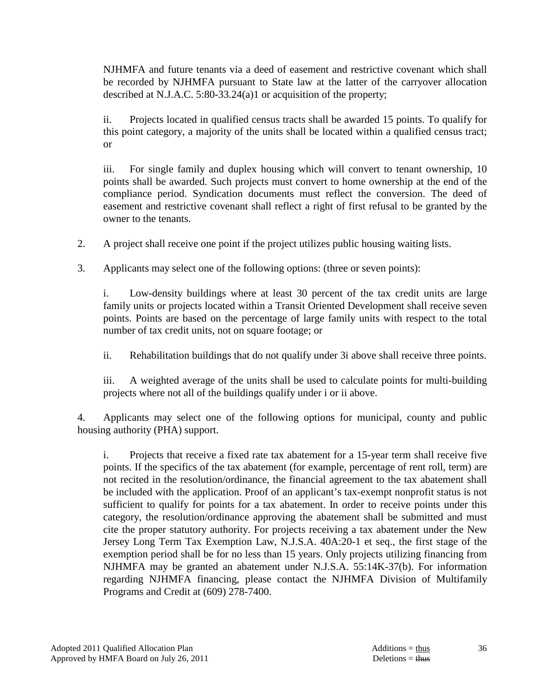NJHMFA and future tenants via a deed of easement and restrictive covenant which shall be recorded by NJHMFA pursuant to State law at the latter of the carryover allocation described at N.J.A.C. 5:80-33.24(a)1 or acquisition of the property;

 ii. Projects located in qualified census tracts shall be awarded 15 points. To qualify for this point category, a majority of the units shall be located within a qualified census tract; or

 iii. For single family and duplex housing which will convert to tenant ownership, 10 points shall be awarded. Such projects must convert to home ownership at the end of the compliance period. Syndication documents must reflect the conversion. The deed of easement and restrictive covenant shall reflect a right of first refusal to be granted by the owner to the tenants.

2. A project shall receive one point if the project utilizes public housing waiting lists.

3. Applicants may select one of the following options: (three or seven points):

Low-density buildings where at least 30 percent of the tax credit units are large family units or projects located within a Transit Oriented Development shall receive seven points. Points are based on the percentage of large family units with respect to the total number of tax credit units, not on square footage; or

ii. Rehabilitation buildings that do not qualify under 3i above shall receive three points.

 iii. A weighted average of the units shall be used to calculate points for multi-building projects where not all of the buildings qualify under i or ii above.

 4. Applicants may select one of the following options for municipal, county and public housing authority (PHA) support.

 i. Projects that receive a fixed rate tax abatement for a 15-year term shall receive five points. If the specifics of the tax abatement (for example, percentage of rent roll, term) are not recited in the resolution/ordinance, the financial agreement to the tax abatement shall be included with the application. Proof of an applicant's tax-exempt nonprofit status is not sufficient to qualify for points for a tax abatement. In order to receive points under this category, the resolution/ordinance approving the abatement shall be submitted and must cite the proper statutory authority. For projects receiving a tax abatement under the New Jersey Long Term Tax Exemption Law, N.J.S.A. 40A:20-1 et seq., the first stage of the exemption period shall be for no less than 15 years. Only projects utilizing financing from NJHMFA may be granted an abatement under N.J.S.A. 55:14K-37(b). For information regarding NJHMFA financing, please contact the NJHMFA Division of Multifamily Programs and Credit at (609) 278-7400.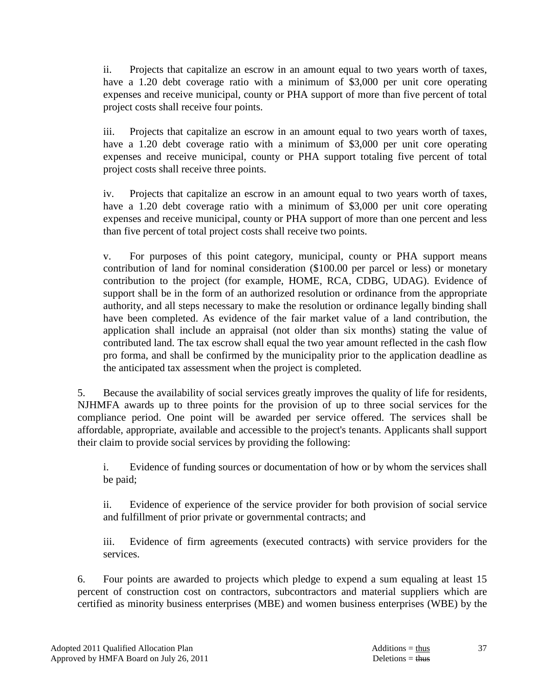ii. Projects that capitalize an escrow in an amount equal to two years worth of taxes, have a 1.20 debt coverage ratio with a minimum of \$3,000 per unit core operating expenses and receive municipal, county or PHA support of more than five percent of total project costs shall receive four points.

 iii. Projects that capitalize an escrow in an amount equal to two years worth of taxes, have a 1.20 debt coverage ratio with a minimum of \$3,000 per unit core operating expenses and receive municipal, county or PHA support totaling five percent of total project costs shall receive three points.

 iv. Projects that capitalize an escrow in an amount equal to two years worth of taxes, have a 1.20 debt coverage ratio with a minimum of \$3,000 per unit core operating expenses and receive municipal, county or PHA support of more than one percent and less than five percent of total project costs shall receive two points.

 v. For purposes of this point category, municipal, county or PHA support means contribution of land for nominal consideration (\$100.00 per parcel or less) or monetary contribution to the project (for example, HOME, RCA, CDBG, UDAG). Evidence of support shall be in the form of an authorized resolution or ordinance from the appropriate authority, and all steps necessary to make the resolution or ordinance legally binding shall have been completed. As evidence of the fair market value of a land contribution, the application shall include an appraisal (not older than six months) stating the value of contributed land. The tax escrow shall equal the two year amount reflected in the cash flow pro forma, and shall be confirmed by the municipality prior to the application deadline as the anticipated tax assessment when the project is completed.

 5. Because the availability of social services greatly improves the quality of life for residents, NJHMFA awards up to three points for the provision of up to three social services for the compliance period. One point will be awarded per service offered. The services shall be affordable, appropriate, available and accessible to the project's tenants. Applicants shall support their claim to provide social services by providing the following:

 i. Evidence of funding sources or documentation of how or by whom the services shall be paid;

 ii. Evidence of experience of the service provider for both provision of social service and fulfillment of prior private or governmental contracts; and

 iii. Evidence of firm agreements (executed contracts) with service providers for the services.

 6. Four points are awarded to projects which pledge to expend a sum equaling at least 15 percent of construction cost on contractors, subcontractors and material suppliers which are certified as minority business enterprises (MBE) and women business enterprises (WBE) by the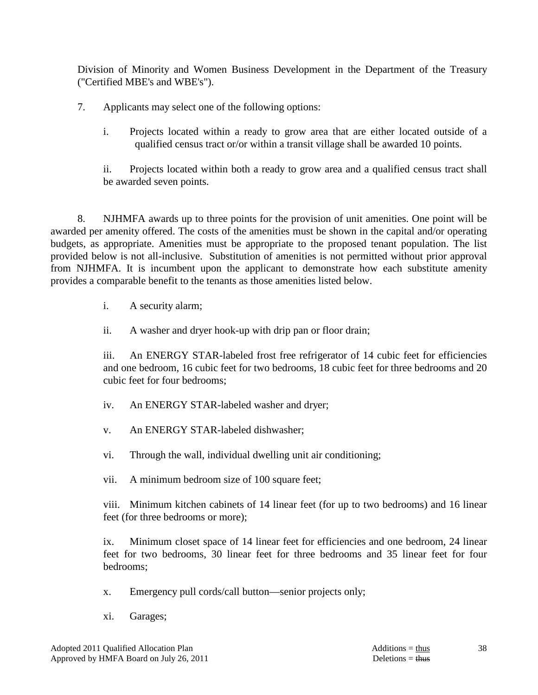Division of Minority and Women Business Development in the Department of the Treasury ("Certified MBE's and WBE's").

7. Applicants may select one of the following options:

i. Projects located within a ready to grow area that are either located outside of a qualified census tract or/or within a transit village shall be awarded 10 points.

 ii. Projects located within both a ready to grow area and a qualified census tract shall be awarded seven points.

 8. NJHMFA awards up to three points for the provision of unit amenities. One point will be awarded per amenity offered. The costs of the amenities must be shown in the capital and/or operating budgets, as appropriate. Amenities must be appropriate to the proposed tenant population. The list provided below is not all-inclusive. Substitution of amenities is not permitted without prior approval from NJHMFA. It is incumbent upon the applicant to demonstrate how each substitute amenity provides a comparable benefit to the tenants as those amenities listed below.

i. A security alarm;

ii. A washer and dryer hook-up with drip pan or floor drain;

 iii. An ENERGY STAR-labeled frost free refrigerator of 14 cubic feet for efficiencies and one bedroom, 16 cubic feet for two bedrooms, 18 cubic feet for three bedrooms and 20 cubic feet for four bedrooms;

iv. An ENERGY STAR-labeled washer and dryer;

v. An ENERGY STAR-labeled dishwasher;

vi. Through the wall, individual dwelling unit air conditioning;

vii. A minimum bedroom size of 100 square feet;

 viii. Minimum kitchen cabinets of 14 linear feet (for up to two bedrooms) and 16 linear feet (for three bedrooms or more);

 ix. Minimum closet space of 14 linear feet for efficiencies and one bedroom, 24 linear feet for two bedrooms, 30 linear feet for three bedrooms and 35 linear feet for four bedrooms;

- x. Emergency pull cords/call button—senior projects only;
- xi. Garages;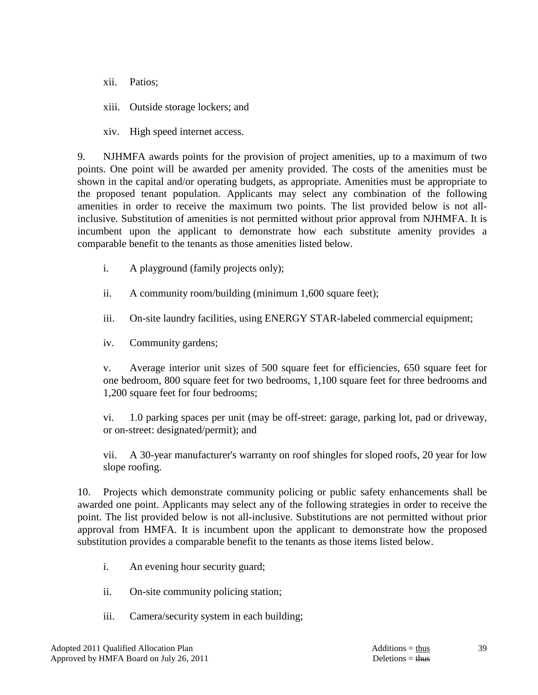xii. Patios;

xiii. Outside storage lockers; and

xiv. High speed internet access.

 9. NJHMFA awards points for the provision of project amenities, up to a maximum of two points. One point will be awarded per amenity provided. The costs of the amenities must be shown in the capital and/or operating budgets, as appropriate. Amenities must be appropriate to the proposed tenant population. Applicants may select any combination of the following amenities in order to receive the maximum two points. The list provided below is not allinclusive. Substitution of amenities is not permitted without prior approval from NJHMFA. It is incumbent upon the applicant to demonstrate how each substitute amenity provides a comparable benefit to the tenants as those amenities listed below.

- i. A playground (family projects only);
- ii. A community room/building (minimum 1,600 square feet);
- iii. On-site laundry facilities, using ENERGY STAR-labeled commercial equipment;
- iv. Community gardens;

 v. Average interior unit sizes of 500 square feet for efficiencies, 650 square feet for one bedroom, 800 square feet for two bedrooms, 1,100 square feet for three bedrooms and 1,200 square feet for four bedrooms;

 vi. 1.0 parking spaces per unit (may be off-street: garage, parking lot, pad or driveway, or on-street: designated/permit); and

 vii. A 30-year manufacturer's warranty on roof shingles for sloped roofs, 20 year for low slope roofing.

 10. Projects which demonstrate community policing or public safety enhancements shall be awarded one point. Applicants may select any of the following strategies in order to receive the point. The list provided below is not all-inclusive. Substitutions are not permitted without prior approval from HMFA. It is incumbent upon the applicant to demonstrate how the proposed substitution provides a comparable benefit to the tenants as those items listed below.

- i. An evening hour security guard;
- ii. On-site community policing station;
- iii. Camera/security system in each building;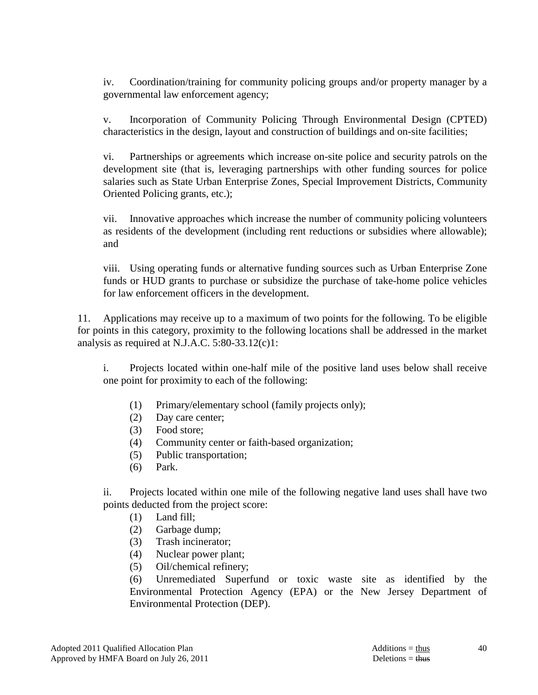iv. Coordination/training for community policing groups and/or property manager by a governmental law enforcement agency;

 v. Incorporation of Community Policing Through Environmental Design (CPTED) characteristics in the design, layout and construction of buildings and on-site facilities;

 vi. Partnerships or agreements which increase on-site police and security patrols on the development site (that is, leveraging partnerships with other funding sources for police salaries such as State Urban Enterprise Zones, Special Improvement Districts, Community Oriented Policing grants, etc.);

 vii. Innovative approaches which increase the number of community policing volunteers as residents of the development (including rent reductions or subsidies where allowable); and

 viii. Using operating funds or alternative funding sources such as Urban Enterprise Zone funds or HUD grants to purchase or subsidize the purchase of take-home police vehicles for law enforcement officers in the development.

11. Applications may receive up to a maximum of two points for the following. To be eligible for points in this category, proximity to the following locations shall be addressed in the market analysis as required at N.J.A.C. 5:80-33.12(c)1:

 i. Projects located within one-half mile of the positive land uses below shall receive one point for proximity to each of the following:

- (1) Primary/elementary school (family projects only);
- (2) Day care center;
- (3) Food store;
- (4) Community center or faith-based organization;
- (5) Public transportation;
- (6) Park.

 ii. Projects located within one mile of the following negative land uses shall have two points deducted from the project score:

- (1) Land fill;
- (2) Garbage dump;
- (3) Trash incinerator;
- (4) Nuclear power plant;
- (5) Oil/chemical refinery;

 (6) Unremediated Superfund or toxic waste site as identified by the Environmental Protection Agency (EPA) or the New Jersey Department of Environmental Protection (DEP).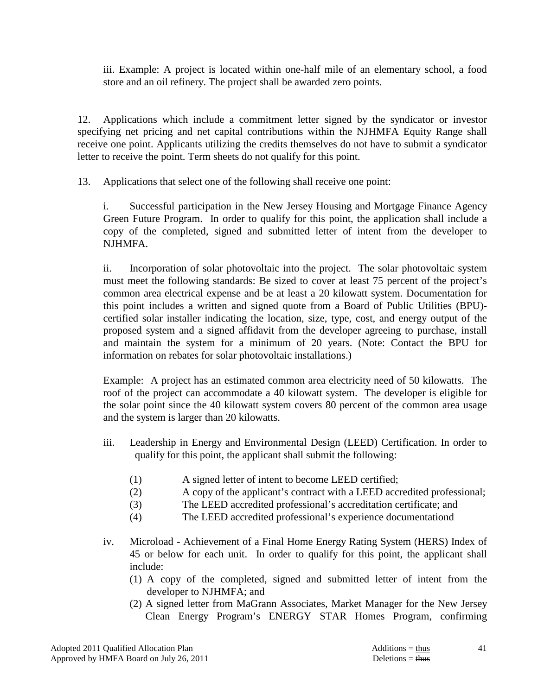iii. Example: A project is located within one-half mile of an elementary school, a food store and an oil refinery. The project shall be awarded zero points.

 12. Applications which include a commitment letter signed by the syndicator or investor specifying net pricing and net capital contributions within the NJHMFA Equity Range shall receive one point. Applicants utilizing the credits themselves do not have to submit a syndicator letter to receive the point. Term sheets do not qualify for this point.

13. Applications that select one of the following shall receive one point:

 i. Successful participation in the New Jersey Housing and Mortgage Finance Agency Green Future Program. In order to qualify for this point, the application shall include a copy of the completed, signed and submitted letter of intent from the developer to NJHMFA.

 ii. Incorporation of solar photovoltaic into the project. The solar photovoltaic system must meet the following standards: Be sized to cover at least 75 percent of the project's common area electrical expense and be at least a 20 kilowatt system. Documentation for this point includes a written and signed quote from a Board of Public Utilities (BPU) certified solar installer indicating the location, size, type, cost, and energy output of the proposed system and a signed affidavit from the developer agreeing to purchase, install and maintain the system for a minimum of 20 years. (Note: Contact the BPU for information on rebates for solar photovoltaic installations.)

Example: A project has an estimated common area electricity need of 50 kilowatts. The roof of the project can accommodate a 40 kilowatt system. The developer is eligible for the solar point since the 40 kilowatt system covers 80 percent of the common area usage and the system is larger than 20 kilowatts.

- iii. Leadership in Energy and Environmental Design (LEED) Certification. In order to qualify for this point, the applicant shall submit the following:
	- (1) A signed letter of intent to become LEED certified;
	- (2) A copy of the applicant's contract with a LEED accredited professional;
	- (3) The LEED accredited professional's accreditation certificate; and
	- (4) The LEED accredited professional's experience documentationd
- iv. Microload Achievement of a Final Home Energy Rating System (HERS) Index of 45 or below for each unit. In order to qualify for this point, the applicant shall include:
	- (1) A copy of the completed, signed and submitted letter of intent from the developer to NJHMFA; and
	- (2) A signed letter from MaGrann Associates, Market Manager for the New Jersey Clean Energy Program's ENERGY STAR Homes Program, confirming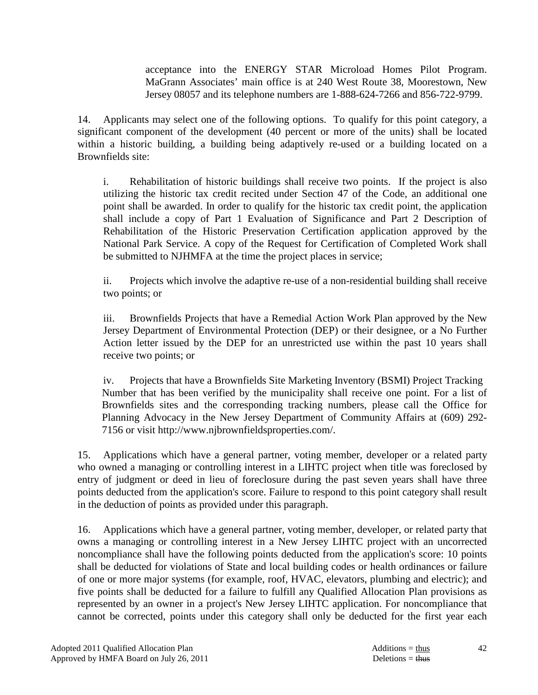acceptance into the ENERGY STAR Microload Homes Pilot Program. MaGrann Associates' main office is at 240 West Route 38, Moorestown, New Jersey 08057 and its telephone numbers are 1-888-624-7266 and 856-722-9799.

 14. Applicants may select one of the following options. To qualify for this point category, a significant component of the development (40 percent or more of the units) shall be located within a historic building, a building being adaptively re-used or a building located on a Brownfields site:

 i. Rehabilitation of historic buildings shall receive two points. If the project is also utilizing the historic tax credit recited under Section 47 of the Code, an additional one point shall be awarded. In order to qualify for the historic tax credit point, the application shall include a copy of Part 1 Evaluation of Significance and Part 2 Description of Rehabilitation of the Historic Preservation Certification application approved by the National Park Service. A copy of the Request for Certification of Completed Work shall be submitted to NJHMFA at the time the project places in service;

 ii. Projects which involve the adaptive re-use of a non-residential building shall receive two points; or

iii. Brownfields Projects that have a Remedial Action Work Plan approved by the New Jersey Department of Environmental Protection (DEP) or their designee, or a No Further Action letter issued by the DEP for an unrestricted use within the past 10 years shall receive two points; or

iv. Projects that have a Brownfields Site Marketing Inventory (BSMI) Project Tracking Number that has been verified by the municipality shall receive one point. For a list of Brownfields sites and the corresponding tracking numbers, please call the Office for Planning Advocacy in the New Jersey Department of Community Affairs at (609) 292- 7156 or visit http://www.njbrownfieldsproperties.com/.

 15. Applications which have a general partner, voting member, developer or a related party who owned a managing or controlling interest in a LIHTC project when title was foreclosed by entry of judgment or deed in lieu of foreclosure during the past seven years shall have three points deducted from the application's score. Failure to respond to this point category shall result in the deduction of points as provided under this paragraph.

 16. Applications which have a general partner, voting member, developer, or related party that owns a managing or controlling interest in a New Jersey LIHTC project with an uncorrected noncompliance shall have the following points deducted from the application's score: 10 points shall be deducted for violations of State and local building codes or health ordinances or failure of one or more major systems (for example, roof, HVAC, elevators, plumbing and electric); and five points shall be deducted for a failure to fulfill any Qualified Allocation Plan provisions as represented by an owner in a project's New Jersey LIHTC application. For noncompliance that cannot be corrected, points under this category shall only be deducted for the first year each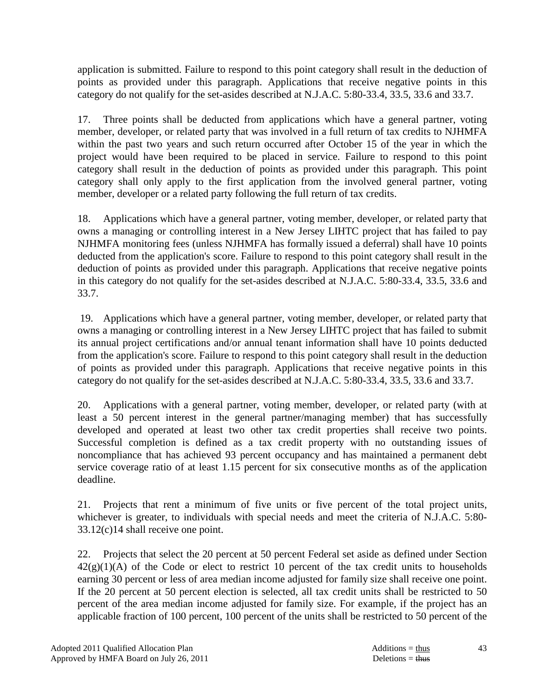application is submitted. Failure to respond to this point category shall result in the deduction of points as provided under this paragraph. Applications that receive negative points in this category do not qualify for the set-asides described at N.J.A.C. 5:80-33.4, 33.5, 33.6 and 33.7.

 17. Three points shall be deducted from applications which have a general partner, voting member, developer, or related party that was involved in a full return of tax credits to NJHMFA within the past two years and such return occurred after October 15 of the year in which the project would have been required to be placed in service. Failure to respond to this point category shall result in the deduction of points as provided under this paragraph. This point category shall only apply to the first application from the involved general partner, voting member, developer or a related party following the full return of tax credits.

 18. Applications which have a general partner, voting member, developer, or related party that owns a managing or controlling interest in a New Jersey LIHTC project that has failed to pay NJHMFA monitoring fees (unless NJHMFA has formally issued a deferral) shall have 10 points deducted from the application's score. Failure to respond to this point category shall result in the deduction of points as provided under this paragraph. Applications that receive negative points in this category do not qualify for the set-asides described at N.J.A.C. 5:80-33.4, 33.5, 33.6 and 33.7.

 19. Applications which have a general partner, voting member, developer, or related party that owns a managing or controlling interest in a New Jersey LIHTC project that has failed to submit its annual project certifications and/or annual tenant information shall have 10 points deducted from the application's score. Failure to respond to this point category shall result in the deduction of points as provided under this paragraph. Applications that receive negative points in this category do not qualify for the set-asides described at N.J.A.C. 5:80-33.4, 33.5, 33.6 and 33.7.

 20. Applications with a general partner, voting member, developer, or related party (with at least a 50 percent interest in the general partner/managing member) that has successfully developed and operated at least two other tax credit properties shall receive two points. Successful completion is defined as a tax credit property with no outstanding issues of noncompliance that has achieved 93 percent occupancy and has maintained a permanent debt service coverage ratio of at least 1.15 percent for six consecutive months as of the application deadline.

 21. Projects that rent a minimum of five units or five percent of the total project units, whichever is greater, to individuals with special needs and meet the criteria of N.J.A.C. 5:80- 33.12(c)14 shall receive one point.

 22. Projects that select the 20 percent at 50 percent Federal set aside as defined under Section  $42(g)(1)(A)$  of the Code or elect to restrict 10 percent of the tax credit units to households earning 30 percent or less of area median income adjusted for family size shall receive one point. If the 20 percent at 50 percent election is selected, all tax credit units shall be restricted to 50 percent of the area median income adjusted for family size. For example, if the project has an applicable fraction of 100 percent, 100 percent of the units shall be restricted to 50 percent of the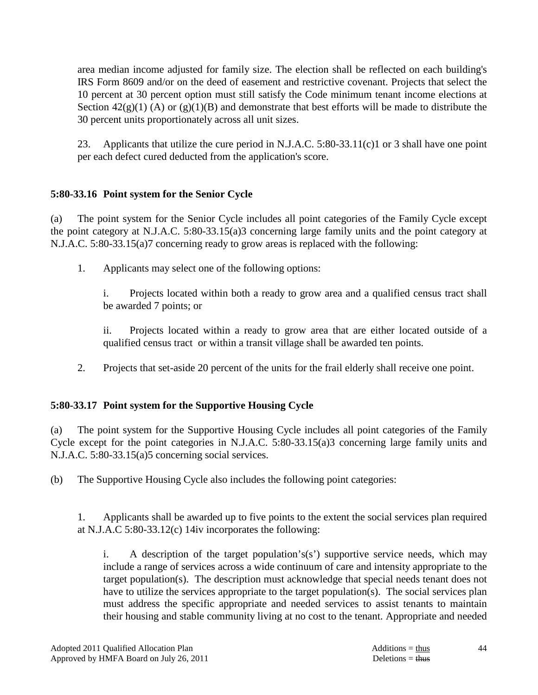area median income adjusted for family size. The election shall be reflected on each building's IRS Form 8609 and/or on the deed of easement and restrictive covenant. Projects that select the 10 percent at 30 percent option must still satisfy the Code minimum tenant income elections at Section  $42(g)(1)$  (A) or  $(g)(1)(B)$  and demonstrate that best efforts will be made to distribute the 30 percent units proportionately across all unit sizes.

 23. Applicants that utilize the cure period in N.J.A.C. 5:80-33.11(c)1 or 3 shall have one point per each defect cured deducted from the application's score.

# **5:80-33.16 Point system for the Senior Cycle**

(a) The point system for the Senior Cycle includes all point categories of the Family Cycle except the point category at N.J.A.C. 5:80-33.15(a)3 concerning large family units and the point category at N.J.A.C. 5:80-33.15(a)7 concerning ready to grow areas is replaced with the following:

1. Applicants may select one of the following options:

 i. Projects located within both a ready to grow area and a qualified census tract shall be awarded 7 points; or

 ii. Projects located within a ready to grow area that are either located outside of a qualified census tract or within a transit village shall be awarded ten points.

2. Projects that set-aside 20 percent of the units for the frail elderly shall receive one point.

# **5:80-33.17 Point system for the Supportive Housing Cycle**

(a) The point system for the Supportive Housing Cycle includes all point categories of the Family Cycle except for the point categories in N.J.A.C. 5:80-33.15(a)3 concerning large family units and N.J.A.C. 5:80-33.15(a)5 concerning social services.

(b) The Supportive Housing Cycle also includes the following point categories:

 1. Applicants shall be awarded up to five points to the extent the social services plan required at N.J.A.C 5:80-33.12(c) 14iv incorporates the following:

i. A description of the target population's(s') supportive service needs, which may include a range of services across a wide continuum of care and intensity appropriate to the target population(s). The description must acknowledge that special needs tenant does not have to utilize the services appropriate to the target population(s). The social services plan must address the specific appropriate and needed services to assist tenants to maintain their housing and stable community living at no cost to the tenant. Appropriate and needed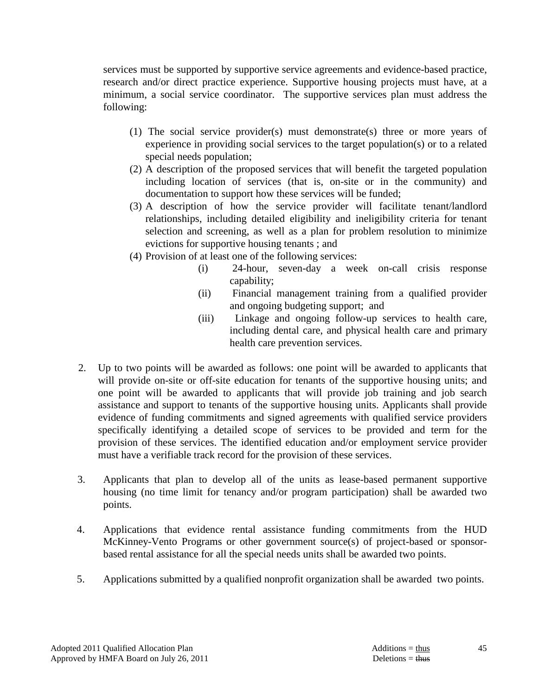services must be supported by supportive service agreements and evidence-based practice, research and/or direct practice experience. Supportive housing projects must have, at a minimum, a social service coordinator. The supportive services plan must address the following:

- (1) The social service provider(s) must demonstrate(s) three or more years of experience in providing social services to the target population(s) or to a related special needs population;
- (2) A description of the proposed services that will benefit the targeted population including location of services (that is, on-site or in the community) and documentation to support how these services will be funded;
- (3) A description of how the service provider will facilitate tenant/landlord relationships, including detailed eligibility and ineligibility criteria for tenant selection and screening, as well as a plan for problem resolution to minimize evictions for supportive housing tenants ; and
- (4) Provision of at least one of the following services:
	- (i) 24-hour, seven-day a week on-call crisis response capability;
	- (ii) Financial management training from a qualified provider and ongoing budgeting support; and
	- (iii) Linkage and ongoing follow-up services to health care, including dental care, and physical health care and primary health care prevention services.
- 2. Up to two points will be awarded as follows: one point will be awarded to applicants that will provide on-site or off-site education for tenants of the supportive housing units; and one point will be awarded to applicants that will provide job training and job search assistance and support to tenants of the supportive housing units. Applicants shall provide evidence of funding commitments and signed agreements with qualified service providers specifically identifying a detailed scope of services to be provided and term for the provision of these services. The identified education and/or employment service provider must have a verifiable track record for the provision of these services.
- 3. Applicants that plan to develop all of the units as lease-based permanent supportive housing (no time limit for tenancy and/or program participation) shall be awarded two points.
- 4. Applications that evidence rental assistance funding commitments from the HUD McKinney-Vento Programs or other government source(s) of project-based or sponsorbased rental assistance for all the special needs units shall be awarded two points.
- 5. Applications submitted by a qualified nonprofit organization shall be awarded two points.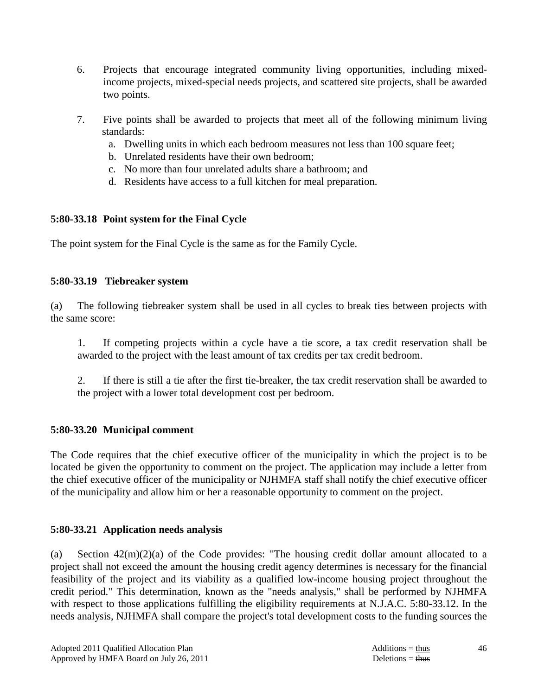- 6. Projects that encourage integrated community living opportunities, including mixedincome projects, mixed-special needs projects, and scattered site projects, shall be awarded two points.
- 7. Five points shall be awarded to projects that meet all of the following minimum living standards:
	- a. Dwelling units in which each bedroom measures not less than 100 square feet;
	- b. Unrelated residents have their own bedroom;
	- c. No more than four unrelated adults share a bathroom; and
	- d. Residents have access to a full kitchen for meal preparation.

# **5:80-33.18 Point system for the Final Cycle**

The point system for the Final Cycle is the same as for the Family Cycle.

# **5:80-33.19 Tiebreaker system**

(a) The following tiebreaker system shall be used in all cycles to break ties between projects with the same score:

 1. If competing projects within a cycle have a tie score, a tax credit reservation shall be awarded to the project with the least amount of tax credits per tax credit bedroom.

 2. If there is still a tie after the first tie-breaker, the tax credit reservation shall be awarded to the project with a lower total development cost per bedroom.

# **5:80-33.20 Municipal comment**

The Code requires that the chief executive officer of the municipality in which the project is to be located be given the opportunity to comment on the project. The application may include a letter from the chief executive officer of the municipality or NJHMFA staff shall notify the chief executive officer of the municipality and allow him or her a reasonable opportunity to comment on the project.

# **5:80-33.21 Application needs analysis**

(a) Section  $42(m)(2)(a)$  of the Code provides: "The housing credit dollar amount allocated to a project shall not exceed the amount the housing credit agency determines is necessary for the financial feasibility of the project and its viability as a qualified low-income housing project throughout the credit period." This determination, known as the "needs analysis," shall be performed by NJHMFA with respect to those applications fulfilling the eligibility requirements at N.J.A.C. 5:80-33.12. In the needs analysis, NJHMFA shall compare the project's total development costs to the funding sources the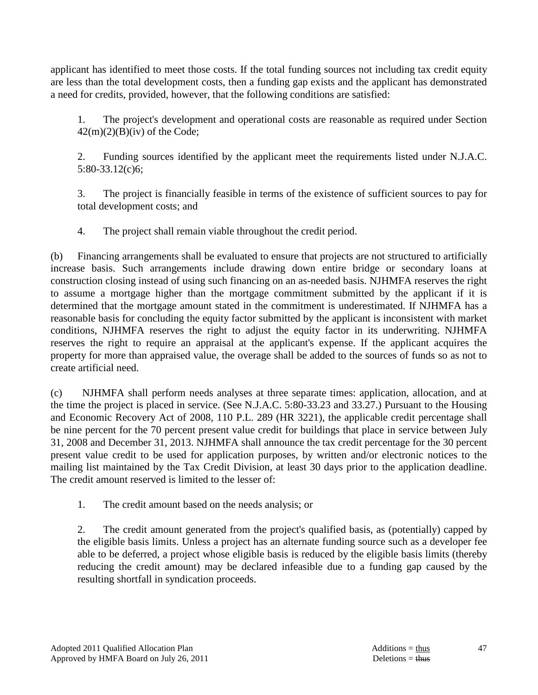applicant has identified to meet those costs. If the total funding sources not including tax credit equity are less than the total development costs, then a funding gap exists and the applicant has demonstrated a need for credits, provided, however, that the following conditions are satisfied:

 1. The project's development and operational costs are reasonable as required under Section  $42(m)(2)(B)(iv)$  of the Code;

 2. Funding sources identified by the applicant meet the requirements listed under N.J.A.C. 5:80-33.12(c)6;

 3. The project is financially feasible in terms of the existence of sufficient sources to pay for total development costs; and

4. The project shall remain viable throughout the credit period.

(b) Financing arrangements shall be evaluated to ensure that projects are not structured to artificially increase basis. Such arrangements include drawing down entire bridge or secondary loans at construction closing instead of using such financing on an as-needed basis. NJHMFA reserves the right to assume a mortgage higher than the mortgage commitment submitted by the applicant if it is determined that the mortgage amount stated in the commitment is underestimated. If NJHMFA has a reasonable basis for concluding the equity factor submitted by the applicant is inconsistent with market conditions, NJHMFA reserves the right to adjust the equity factor in its underwriting. NJHMFA reserves the right to require an appraisal at the applicant's expense. If the applicant acquires the property for more than appraised value, the overage shall be added to the sources of funds so as not to create artificial need.

(c) NJHMFA shall perform needs analyses at three separate times: application, allocation, and at the time the project is placed in service. (See N.J.A.C. 5:80-33.23 and 33.27.) Pursuant to the Housing and Economic Recovery Act of 2008, 110 P.L. 289 (HR 3221), the applicable credit percentage shall be nine percent for the 70 percent present value credit for buildings that place in service between July 31, 2008 and December 31, 2013. NJHMFA shall announce the tax credit percentage for the 30 percent present value credit to be used for application purposes, by written and/or electronic notices to the mailing list maintained by the Tax Credit Division, at least 30 days prior to the application deadline. The credit amount reserved is limited to the lesser of:

1. The credit amount based on the needs analysis; or

 2. The credit amount generated from the project's qualified basis, as (potentially) capped by the eligible basis limits. Unless a project has an alternate funding source such as a developer fee able to be deferred, a project whose eligible basis is reduced by the eligible basis limits (thereby reducing the credit amount) may be declared infeasible due to a funding gap caused by the resulting shortfall in syndication proceeds.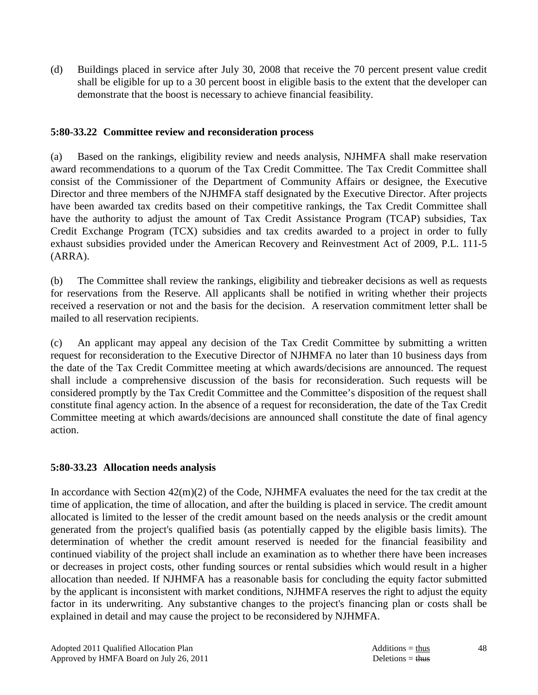(d) Buildings placed in service after July 30, 2008 that receive the 70 percent present value credit shall be eligible for up to a 30 percent boost in eligible basis to the extent that the developer can demonstrate that the boost is necessary to achieve financial feasibility.

### **5:80-33.22 Committee review and reconsideration process**

(a) Based on the rankings, eligibility review and needs analysis, NJHMFA shall make reservation award recommendations to a quorum of the Tax Credit Committee. The Tax Credit Committee shall consist of the Commissioner of the Department of Community Affairs or designee, the Executive Director and three members of the NJHMFA staff designated by the Executive Director. After projects have been awarded tax credits based on their competitive rankings, the Tax Credit Committee shall have the authority to adjust the amount of Tax Credit Assistance Program (TCAP) subsidies, Tax Credit Exchange Program (TCX) subsidies and tax credits awarded to a project in order to fully exhaust subsidies provided under the American Recovery and Reinvestment Act of 2009, P.L. 111-5 (ARRA).

(b) The Committee shall review the rankings, eligibility and tiebreaker decisions as well as requests for reservations from the Reserve. All applicants shall be notified in writing whether their projects received a reservation or not and the basis for the decision. A reservation commitment letter shall be mailed to all reservation recipients.

(c) An applicant may appeal any decision of the Tax Credit Committee by submitting a written request for reconsideration to the Executive Director of NJHMFA no later than 10 business days from the date of the Tax Credit Committee meeting at which awards/decisions are announced. The request shall include a comprehensive discussion of the basis for reconsideration. Such requests will be considered promptly by the Tax Credit Committee and the Committee's disposition of the request shall constitute final agency action. In the absence of a request for reconsideration, the date of the Tax Credit Committee meeting at which awards/decisions are announced shall constitute the date of final agency action.

### **5:80-33.23 Allocation needs analysis**

In accordance with Section 42(m)(2) of the Code, NJHMFA evaluates the need for the tax credit at the time of application, the time of allocation, and after the building is placed in service. The credit amount allocated is limited to the lesser of the credit amount based on the needs analysis or the credit amount generated from the project's qualified basis (as potentially capped by the eligible basis limits). The determination of whether the credit amount reserved is needed for the financial feasibility and continued viability of the project shall include an examination as to whether there have been increases or decreases in project costs, other funding sources or rental subsidies which would result in a higher allocation than needed. If NJHMFA has a reasonable basis for concluding the equity factor submitted by the applicant is inconsistent with market conditions, NJHMFA reserves the right to adjust the equity factor in its underwriting. Any substantive changes to the project's financing plan or costs shall be explained in detail and may cause the project to be reconsidered by NJHMFA.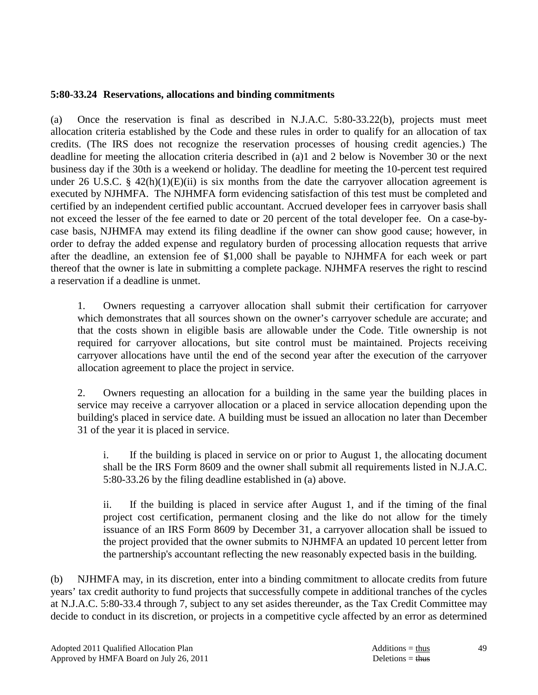### **5:80-33.24 Reservations, allocations and binding commitments**

(a) Once the reservation is final as described in N.J.A.C. 5:80-33.22(b), projects must meet allocation criteria established by the Code and these rules in order to qualify for an allocation of tax credits. (The IRS does not recognize the reservation processes of housing credit agencies.) The deadline for meeting the allocation criteria described in (a)1 and 2 below is November 30 or the next business day if the 30th is a weekend or holiday. The deadline for meeting the 10-percent test required under 26 U.S.C. § 42(h)(1)(E)(ii) is six months from the date the carryover allocation agreement is executed by NJHMFA. The NJHMFA form evidencing satisfaction of this test must be completed and certified by an independent certified public accountant. Accrued developer fees in carryover basis shall not exceed the lesser of the fee earned to date or 20 percent of the total developer fee. On a case-bycase basis, NJHMFA may extend its filing deadline if the owner can show good cause; however, in order to defray the added expense and regulatory burden of processing allocation requests that arrive after the deadline, an extension fee of \$1,000 shall be payable to NJHMFA for each week or part thereof that the owner is late in submitting a complete package. NJHMFA reserves the right to rescind a reservation if a deadline is unmet.

 1. Owners requesting a carryover allocation shall submit their certification for carryover which demonstrates that all sources shown on the owner's carryover schedule are accurate; and that the costs shown in eligible basis are allowable under the Code. Title ownership is not required for carryover allocations, but site control must be maintained. Projects receiving carryover allocations have until the end of the second year after the execution of the carryover allocation agreement to place the project in service.

 2. Owners requesting an allocation for a building in the same year the building places in service may receive a carryover allocation or a placed in service allocation depending upon the building's placed in service date. A building must be issued an allocation no later than December 31 of the year it is placed in service.

 i. If the building is placed in service on or prior to August 1, the allocating document shall be the IRS Form 8609 and the owner shall submit all requirements listed in N.J.A.C. 5:80-33.26 by the filing deadline established in (a) above.

 ii. If the building is placed in service after August 1, and if the timing of the final project cost certification, permanent closing and the like do not allow for the timely issuance of an IRS Form 8609 by December 31, a carryover allocation shall be issued to the project provided that the owner submits to NJHMFA an updated 10 percent letter from the partnership's accountant reflecting the new reasonably expected basis in the building.

(b) NJHMFA may, in its discretion, enter into a binding commitment to allocate credits from future years' tax credit authority to fund projects that successfully compete in additional tranches of the cycles at N.J.A.C. 5:80-33.4 through 7, subject to any set asides thereunder, as the Tax Credit Committee may decide to conduct in its discretion, or projects in a competitive cycle affected by an error as determined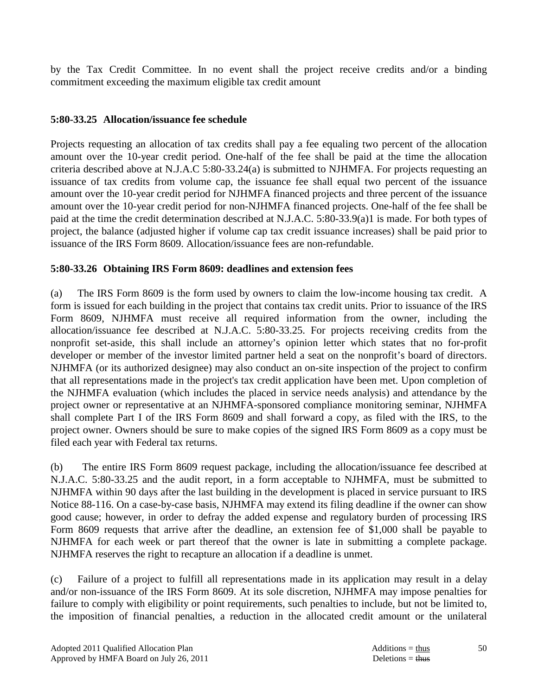by the Tax Credit Committee. In no event shall the project receive credits and/or a binding commitment exceeding the maximum eligible tax credit amount

### **5:80-33.25 Allocation/issuance fee schedule**

Projects requesting an allocation of tax credits shall pay a fee equaling two percent of the allocation amount over the 10-year credit period. One-half of the fee shall be paid at the time the allocation criteria described above at N.J.A.C 5:80-33.24(a) is submitted to NJHMFA. For projects requesting an issuance of tax credits from volume cap, the issuance fee shall equal two percent of the issuance amount over the 10-year credit period for NJHMFA financed projects and three percent of the issuance amount over the 10-year credit period for non-NJHMFA financed projects. One-half of the fee shall be paid at the time the credit determination described at N.J.A.C. 5:80-33.9(a)1 is made. For both types of project, the balance (adjusted higher if volume cap tax credit issuance increases) shall be paid prior to issuance of the IRS Form 8609. Allocation/issuance fees are non-refundable.

### **5:80-33.26 Obtaining IRS Form 8609: deadlines and extension fees**

(a) The IRS Form 8609 is the form used by owners to claim the low-income housing tax credit. A form is issued for each building in the project that contains tax credit units. Prior to issuance of the IRS Form 8609, NJHMFA must receive all required information from the owner, including the allocation/issuance fee described at N.J.A.C. 5:80-33.25. For projects receiving credits from the nonprofit set-aside, this shall include an attorney's opinion letter which states that no for-profit developer or member of the investor limited partner held a seat on the nonprofit's board of directors. NJHMFA (or its authorized designee) may also conduct an on-site inspection of the project to confirm that all representations made in the project's tax credit application have been met. Upon completion of the NJHMFA evaluation (which includes the placed in service needs analysis) and attendance by the project owner or representative at an NJHMFA-sponsored compliance monitoring seminar, NJHMFA shall complete Part I of the IRS Form 8609 and shall forward a copy, as filed with the IRS, to the project owner. Owners should be sure to make copies of the signed IRS Form 8609 as a copy must be filed each year with Federal tax returns.

(b) The entire IRS Form 8609 request package, including the allocation/issuance fee described at N.J.A.C. 5:80-33.25 and the audit report, in a form acceptable to NJHMFA, must be submitted to NJHMFA within 90 days after the last building in the development is placed in service pursuant to IRS Notice 88-116. On a case-by-case basis, NJHMFA may extend its filing deadline if the owner can show good cause; however, in order to defray the added expense and regulatory burden of processing IRS Form 8609 requests that arrive after the deadline, an extension fee of \$1,000 shall be payable to NJHMFA for each week or part thereof that the owner is late in submitting a complete package. NJHMFA reserves the right to recapture an allocation if a deadline is unmet.

(c) Failure of a project to fulfill all representations made in its application may result in a delay and/or non-issuance of the IRS Form 8609. At its sole discretion, NJHMFA may impose penalties for failure to comply with eligibility or point requirements, such penalties to include, but not be limited to, the imposition of financial penalties, a reduction in the allocated credit amount or the unilateral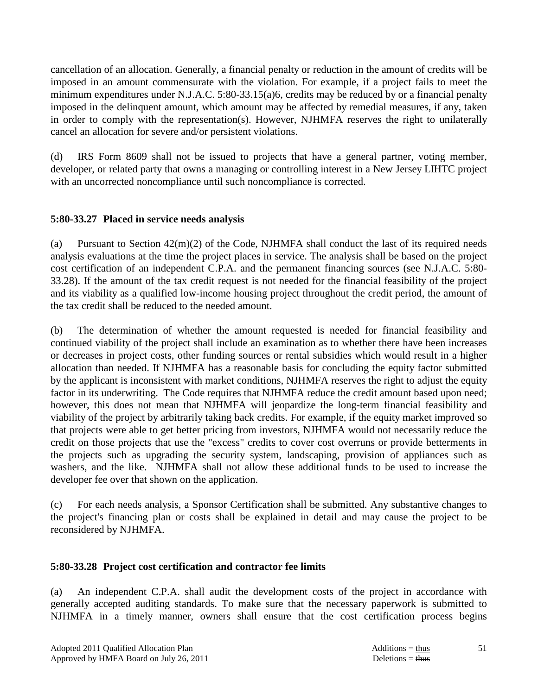cancellation of an allocation. Generally, a financial penalty or reduction in the amount of credits will be imposed in an amount commensurate with the violation. For example, if a project fails to meet the minimum expenditures under N.J.A.C. 5:80-33.15(a)6, credits may be reduced by or a financial penalty imposed in the delinquent amount, which amount may be affected by remedial measures, if any, taken in order to comply with the representation(s). However, NJHMFA reserves the right to unilaterally cancel an allocation for severe and/or persistent violations.

(d) IRS Form 8609 shall not be issued to projects that have a general partner, voting member, developer, or related party that owns a managing or controlling interest in a New Jersey LIHTC project with an uncorrected noncompliance until such noncompliance is corrected.

### **5:80-33.27 Placed in service needs analysis**

(a) Pursuant to Section  $42(m)(2)$  of the Code, NJHMFA shall conduct the last of its required needs analysis evaluations at the time the project places in service. The analysis shall be based on the project cost certification of an independent C.P.A. and the permanent financing sources (see N.J.A.C. 5:80- 33.28). If the amount of the tax credit request is not needed for the financial feasibility of the project and its viability as a qualified low-income housing project throughout the credit period, the amount of the tax credit shall be reduced to the needed amount.

(b) The determination of whether the amount requested is needed for financial feasibility and continued viability of the project shall include an examination as to whether there have been increases or decreases in project costs, other funding sources or rental subsidies which would result in a higher allocation than needed. If NJHMFA has a reasonable basis for concluding the equity factor submitted by the applicant is inconsistent with market conditions, NJHMFA reserves the right to adjust the equity factor in its underwriting. The Code requires that NJHMFA reduce the credit amount based upon need; however, this does not mean that NJHMFA will jeopardize the long-term financial feasibility and viability of the project by arbitrarily taking back credits. For example, if the equity market improved so that projects were able to get better pricing from investors, NJHMFA would not necessarily reduce the credit on those projects that use the "excess" credits to cover cost overruns or provide betterments in the projects such as upgrading the security system, landscaping, provision of appliances such as washers, and the like. NJHMFA shall not allow these additional funds to be used to increase the developer fee over that shown on the application.

(c) For each needs analysis, a Sponsor Certification shall be submitted. Any substantive changes to the project's financing plan or costs shall be explained in detail and may cause the project to be reconsidered by NJHMFA.

### **5:80-33.28 Project cost certification and contractor fee limits**

(a) An independent C.P.A. shall audit the development costs of the project in accordance with generally accepted auditing standards. To make sure that the necessary paperwork is submitted to NJHMFA in a timely manner, owners shall ensure that the cost certification process begins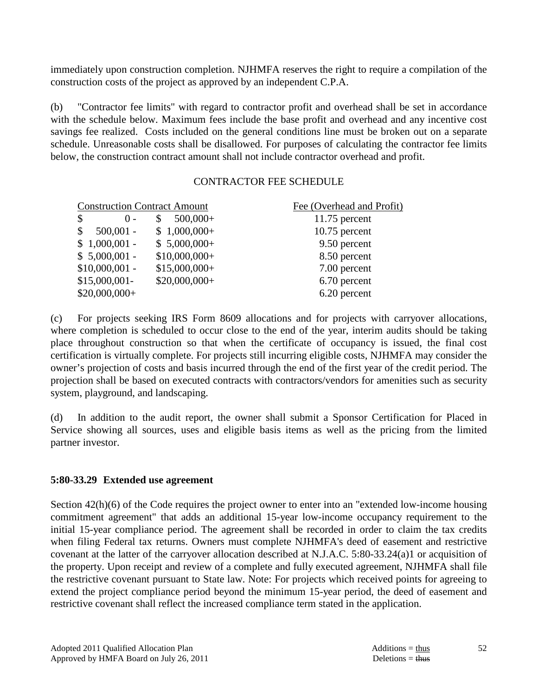immediately upon construction completion. NJHMFA reserves the right to require a compilation of the construction costs of the project as approved by an independent C.P.A.

(b) "Contractor fee limits" with regard to contractor profit and overhead shall be set in accordance with the schedule below. Maximum fees include the base profit and overhead and any incentive cost savings fee realized. Costs included on the general conditions line must be broken out on a separate schedule. Unreasonable costs shall be disallowed. For purposes of calculating the contractor fee limits below, the construction contract amount shall not include contractor overhead and profit.

### CONTRACTOR FEE SCHEDULE

| Fee (Overhead and Profit) |
|---------------------------|
| $11.75$ percent           |
| $10.75$ percent           |
| 9.50 percent              |
| 8.50 percent              |
| 7.00 percent              |
| 6.70 percent              |
| 6.20 percent              |
|                           |

(c) For projects seeking IRS Form 8609 allocations and for projects with carryover allocations, where completion is scheduled to occur close to the end of the year, interim audits should be taking place throughout construction so that when the certificate of occupancy is issued, the final cost certification is virtually complete. For projects still incurring eligible costs, NJHMFA may consider the owner's projection of costs and basis incurred through the end of the first year of the credit period. The projection shall be based on executed contracts with contractors/vendors for amenities such as security system, playground, and landscaping.

(d) In addition to the audit report, the owner shall submit a Sponsor Certification for Placed in Service showing all sources, uses and eligible basis items as well as the pricing from the limited partner investor.

### **5:80-33.29 Extended use agreement**

Section 42(h)(6) of the Code requires the project owner to enter into an "extended low-income housing commitment agreement" that adds an additional 15-year low-income occupancy requirement to the initial 15-year compliance period. The agreement shall be recorded in order to claim the tax credits when filing Federal tax returns. Owners must complete NJHMFA's deed of easement and restrictive covenant at the latter of the carryover allocation described at N.J.A.C. 5:80-33.24(a)1 or acquisition of the property. Upon receipt and review of a complete and fully executed agreement, NJHMFA shall file the restrictive covenant pursuant to State law. Note: For projects which received points for agreeing to extend the project compliance period beyond the minimum 15-year period, the deed of easement and restrictive covenant shall reflect the increased compliance term stated in the application.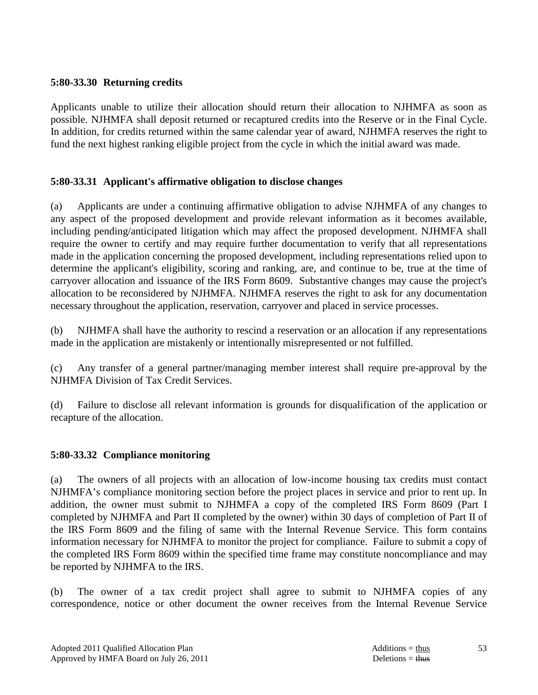### **5:80-33.30 Returning credits**

Applicants unable to utilize their allocation should return their allocation to NJHMFA as soon as possible. NJHMFA shall deposit returned or recaptured credits into the Reserve or in the Final Cycle. In addition, for credits returned within the same calendar year of award, NJHMFA reserves the right to fund the next highest ranking eligible project from the cycle in which the initial award was made.

### **5:80-33.31 Applicant's affirmative obligation to disclose changes**

(a) Applicants are under a continuing affirmative obligation to advise NJHMFA of any changes to any aspect of the proposed development and provide relevant information as it becomes available, including pending/anticipated litigation which may affect the proposed development. NJHMFA shall require the owner to certify and may require further documentation to verify that all representations made in the application concerning the proposed development, including representations relied upon to determine the applicant's eligibility, scoring and ranking, are, and continue to be, true at the time of carryover allocation and issuance of the IRS Form 8609. Substantive changes may cause the project's allocation to be reconsidered by NJHMFA. NJHMFA reserves the right to ask for any documentation necessary throughout the application, reservation, carryover and placed in service processes.

(b) NJHMFA shall have the authority to rescind a reservation or an allocation if any representations made in the application are mistakenly or intentionally misrepresented or not fulfilled.

(c) Any transfer of a general partner/managing member interest shall require pre-approval by the NJHMFA Division of Tax Credit Services.

(d) Failure to disclose all relevant information is grounds for disqualification of the application or recapture of the allocation.

### **5:80-33.32 Compliance monitoring**

(a) The owners of all projects with an allocation of low-income housing tax credits must contact NJHMFA's compliance monitoring section before the project places in service and prior to rent up. In addition, the owner must submit to NJHMFA a copy of the completed IRS Form 8609 (Part I completed by NJHMFA and Part II completed by the owner) within 30 days of completion of Part II of the IRS Form 8609 and the filing of same with the Internal Revenue Service. This form contains information necessary for NJHMFA to monitor the project for compliance. Failure to submit a copy of the completed IRS Form 8609 within the specified time frame may constitute noncompliance and may be reported by NJHMFA to the IRS.

(b) The owner of a tax credit project shall agree to submit to NJHMFA copies of any correspondence, notice or other document the owner receives from the Internal Revenue Service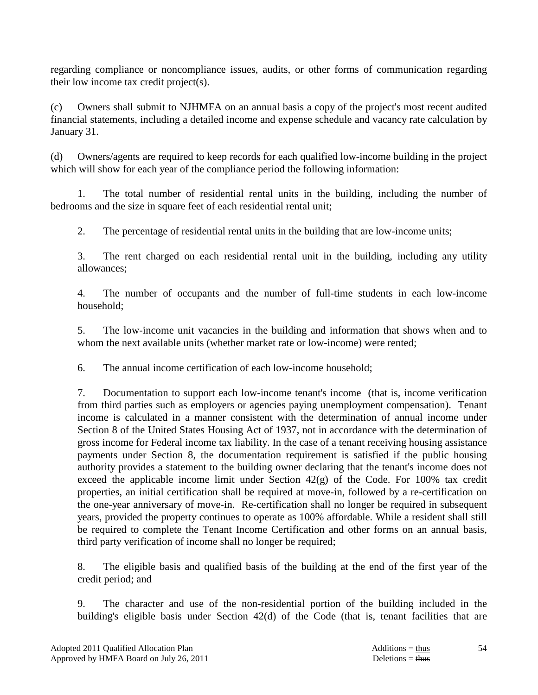regarding compliance or noncompliance issues, audits, or other forms of communication regarding their low income tax credit project(s).

(c) Owners shall submit to NJHMFA on an annual basis a copy of the project's most recent audited financial statements, including a detailed income and expense schedule and vacancy rate calculation by January 31.

(d) Owners/agents are required to keep records for each qualified low-income building in the project which will show for each year of the compliance period the following information:

 1. The total number of residential rental units in the building, including the number of bedrooms and the size in square feet of each residential rental unit;

2. The percentage of residential rental units in the building that are low-income units;

 3. The rent charged on each residential rental unit in the building, including any utility allowances;

 4. The number of occupants and the number of full-time students in each low-income household;

 5. The low-income unit vacancies in the building and information that shows when and to whom the next available units (whether market rate or low-income) were rented;

6. The annual income certification of each low-income household;

 7. Documentation to support each low-income tenant's income (that is, income verification from third parties such as employers or agencies paying unemployment compensation). Tenant income is calculated in a manner consistent with the determination of annual income under Section 8 of the United States Housing Act of 1937, not in accordance with the determination of gross income for Federal income tax liability. In the case of a tenant receiving housing assistance payments under Section 8, the documentation requirement is satisfied if the public housing authority provides a statement to the building owner declaring that the tenant's income does not exceed the applicable income limit under Section 42(g) of the Code. For 100% tax credit properties, an initial certification shall be required at move-in, followed by a re-certification on the one-year anniversary of move-in. Re-certification shall no longer be required in subsequent years, provided the property continues to operate as 100% affordable. While a resident shall still be required to complete the Tenant Income Certification and other forms on an annual basis, third party verification of income shall no longer be required;

 8. The eligible basis and qualified basis of the building at the end of the first year of the credit period; and

 9. The character and use of the non-residential portion of the building included in the building's eligible basis under Section 42(d) of the Code (that is, tenant facilities that are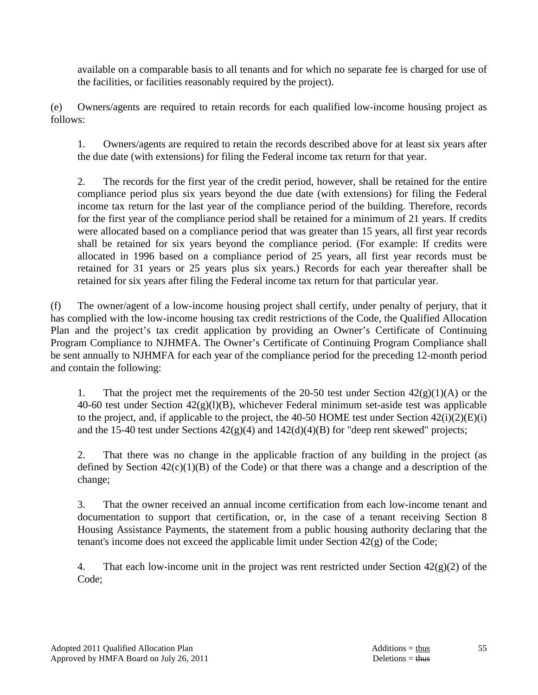available on a comparable basis to all tenants and for which no separate fee is charged for use of the facilities, or facilities reasonably required by the project).

(e) Owners/agents are required to retain records for each qualified low-income housing project as follows:

 1. Owners/agents are required to retain the records described above for at least six years after the due date (with extensions) for filing the Federal income tax return for that year.

 2. The records for the first year of the credit period, however, shall be retained for the entire compliance period plus six years beyond the due date (with extensions) for filing the Federal income tax return for the last year of the compliance period of the building. Therefore, records for the first year of the compliance period shall be retained for a minimum of 21 years. If credits were allocated based on a compliance period that was greater than 15 years, all first year records shall be retained for six years beyond the compliance period. (For example: If credits were allocated in 1996 based on a compliance period of 25 years, all first year records must be retained for 31 years or 25 years plus six years.) Records for each year thereafter shall be retained for six years after filing the Federal income tax return for that particular year.

(f) The owner/agent of a low-income housing project shall certify, under penalty of perjury, that it has complied with the low-income housing tax credit restrictions of the Code, the Qualified Allocation Plan and the project's tax credit application by providing an Owner's Certificate of Continuing Program Compliance to NJHMFA. The Owner's Certificate of Continuing Program Compliance shall be sent annually to NJHMFA for each year of the compliance period for the preceding 12-month period and contain the following:

1. That the project met the requirements of the 20-50 test under Section  $42(g)(1)(A)$  or the 40-60 test under Section 42(g)(l)(B), whichever Federal minimum set-aside test was applicable to the project, and, if applicable to the project, the 40-50 HOME test under Section 42(i)(2)(E)(i) and the 15-40 test under Sections  $42(g)(4)$  and  $142(d)(4)(B)$  for "deep rent skewed" projects;

 2. That there was no change in the applicable fraction of any building in the project (as defined by Section  $42(c)(1)(B)$  of the Code) or that there was a change and a description of the change;

 3. That the owner received an annual income certification from each low-income tenant and documentation to support that certification, or, in the case of a tenant receiving Section 8 Housing Assistance Payments, the statement from a public housing authority declaring that the tenant's income does not exceed the applicable limit under Section 42(g) of the Code;

4. That each low-income unit in the project was rent restricted under Section  $42(g)(2)$  of the Code;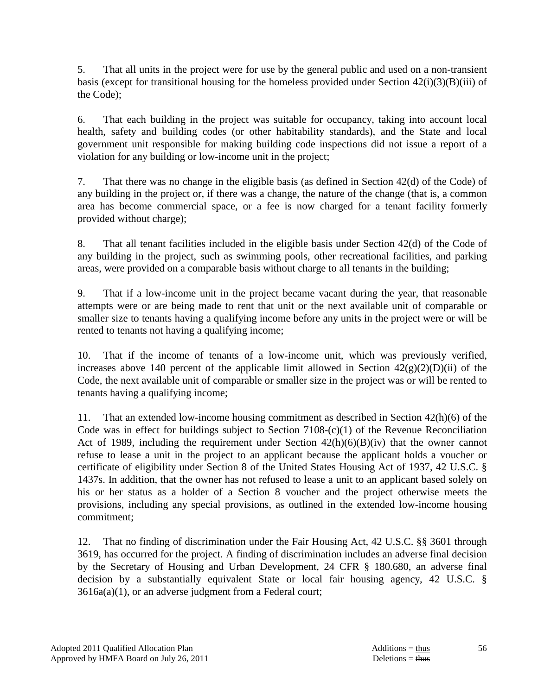5. That all units in the project were for use by the general public and used on a non-transient basis (except for transitional housing for the homeless provided under Section  $42(i)(3)(B)(iii)$  of the Code);

 6. That each building in the project was suitable for occupancy, taking into account local health, safety and building codes (or other habitability standards), and the State and local government unit responsible for making building code inspections did not issue a report of a violation for any building or low-income unit in the project;

 7. That there was no change in the eligible basis (as defined in Section 42(d) of the Code) of any building in the project or, if there was a change, the nature of the change (that is, a common area has become commercial space, or a fee is now charged for a tenant facility formerly provided without charge);

 8. That all tenant facilities included in the eligible basis under Section 42(d) of the Code of any building in the project, such as swimming pools, other recreational facilities, and parking areas, were provided on a comparable basis without charge to all tenants in the building;

 9. That if a low-income unit in the project became vacant during the year, that reasonable attempts were or are being made to rent that unit or the next available unit of comparable or smaller size to tenants having a qualifying income before any units in the project were or will be rented to tenants not having a qualifying income;

 10. That if the income of tenants of a low-income unit, which was previously verified, increases above 140 percent of the applicable limit allowed in Section  $42(g)(2)(D)(ii)$  of the Code, the next available unit of comparable or smaller size in the project was or will be rented to tenants having a qualifying income;

 11. That an extended low-income housing commitment as described in Section 42(h)(6) of the Code was in effect for buildings subject to Section 7108-(c)(1) of the Revenue Reconciliation Act of 1989, including the requirement under Section  $42(h)(6)(B)(iv)$  that the owner cannot refuse to lease a unit in the project to an applicant because the applicant holds a voucher or certificate of eligibility under Section 8 of the United States Housing Act of 1937, 42 U.S.C. § 1437s. In addition, that the owner has not refused to lease a unit to an applicant based solely on his or her status as a holder of a Section 8 voucher and the project otherwise meets the provisions, including any special provisions, as outlined in the extended low-income housing commitment;

 12. That no finding of discrimination under the Fair Housing Act, 42 U.S.C. §§ 3601 through 3619, has occurred for the project. A finding of discrimination includes an adverse final decision by the Secretary of Housing and Urban Development, 24 CFR § 180.680, an adverse final decision by a substantially equivalent State or local fair housing agency, 42 U.S.C. § 3616a(a)(1), or an adverse judgment from a Federal court;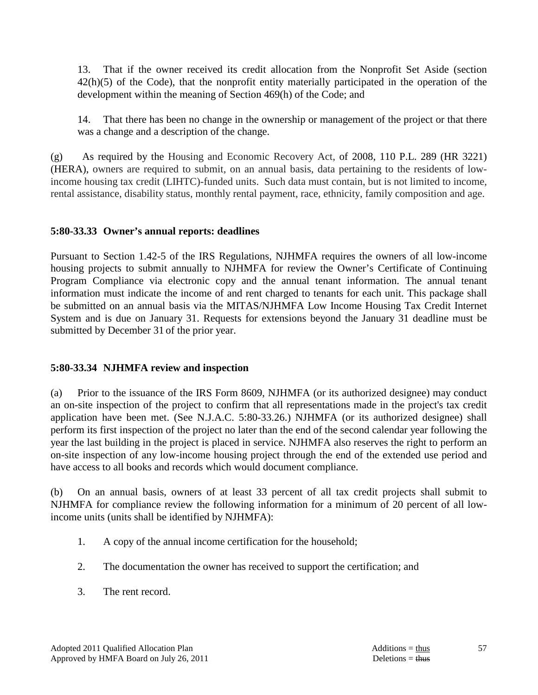13. That if the owner received its credit allocation from the Nonprofit Set Aside (section 42(h)(5) of the Code), that the nonprofit entity materially participated in the operation of the development within the meaning of Section 469(h) of the Code; and

 14. That there has been no change in the ownership or management of the project or that there was a change and a description of the change.

(g) As required by the Housing and Economic Recovery Act, of 2008, 110 P.L. 289 (HR 3221) (HERA), owners are required to submit, on an annual basis, data pertaining to the residents of lowincome housing tax credit (LIHTC)-funded units. Such data must contain, but is not limited to income, rental assistance, disability status, monthly rental payment, race, ethnicity, family composition and age.

### **5:80-33.33 Owner's annual reports: deadlines**

Pursuant to Section 1.42-5 of the IRS Regulations, NJHMFA requires the owners of all low-income housing projects to submit annually to NJHMFA for review the Owner's Certificate of Continuing Program Compliance via electronic copy and the annual tenant information. The annual tenant information must indicate the income of and rent charged to tenants for each unit. This package shall be submitted on an annual basis via the MITAS/NJHMFA Low Income Housing Tax Credit Internet System and is due on January 31. Requests for extensions beyond the January 31 deadline must be submitted by December 31 of the prior year.

### **5:80-33.34 NJHMFA review and inspection**

(a) Prior to the issuance of the IRS Form 8609, NJHMFA (or its authorized designee) may conduct an on-site inspection of the project to confirm that all representations made in the project's tax credit application have been met. (See N.J.A.C. 5:80-33.26.) NJHMFA (or its authorized designee) shall perform its first inspection of the project no later than the end of the second calendar year following the year the last building in the project is placed in service. NJHMFA also reserves the right to perform an on-site inspection of any low-income housing project through the end of the extended use period and have access to all books and records which would document compliance.

(b) On an annual basis, owners of at least 33 percent of all tax credit projects shall submit to NJHMFA for compliance review the following information for a minimum of 20 percent of all lowincome units (units shall be identified by NJHMFA):

- 1. A copy of the annual income certification for the household;
- 2. The documentation the owner has received to support the certification; and
- 3. The rent record.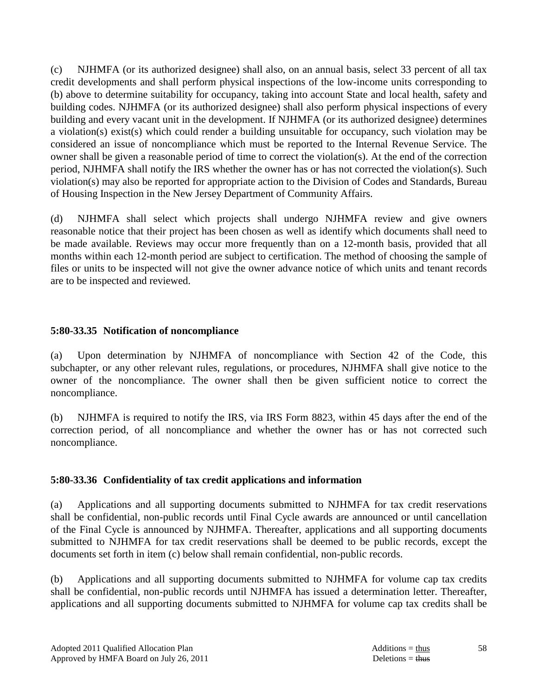(c) NJHMFA (or its authorized designee) shall also, on an annual basis, select 33 percent of all tax credit developments and shall perform physical inspections of the low-income units corresponding to (b) above to determine suitability for occupancy, taking into account State and local health, safety and building codes. NJHMFA (or its authorized designee) shall also perform physical inspections of every building and every vacant unit in the development. If NJHMFA (or its authorized designee) determines a violation(s) exist(s) which could render a building unsuitable for occupancy, such violation may be considered an issue of noncompliance which must be reported to the Internal Revenue Service. The owner shall be given a reasonable period of time to correct the violation(s). At the end of the correction period, NJHMFA shall notify the IRS whether the owner has or has not corrected the violation(s). Such violation(s) may also be reported for appropriate action to the Division of Codes and Standards, Bureau of Housing Inspection in the New Jersey Department of Community Affairs.

(d) NJHMFA shall select which projects shall undergo NJHMFA review and give owners reasonable notice that their project has been chosen as well as identify which documents shall need to be made available. Reviews may occur more frequently than on a 12-month basis, provided that all months within each 12-month period are subject to certification. The method of choosing the sample of files or units to be inspected will not give the owner advance notice of which units and tenant records are to be inspected and reviewed.

### **5:80-33.35 Notification of noncompliance**

(a) Upon determination by NJHMFA of noncompliance with Section 42 of the Code, this subchapter, or any other relevant rules, regulations, or procedures, NJHMFA shall give notice to the owner of the noncompliance. The owner shall then be given sufficient notice to correct the noncompliance.

(b) NJHMFA is required to notify the IRS, via IRS Form 8823, within 45 days after the end of the correction period, of all noncompliance and whether the owner has or has not corrected such noncompliance.

### **5:80-33.36 Confidentiality of tax credit applications and information**

(a) Applications and all supporting documents submitted to NJHMFA for tax credit reservations shall be confidential, non-public records until Final Cycle awards are announced or until cancellation of the Final Cycle is announced by NJHMFA. Thereafter, applications and all supporting documents submitted to NJHMFA for tax credit reservations shall be deemed to be public records, except the documents set forth in item (c) below shall remain confidential, non-public records.

(b) Applications and all supporting documents submitted to NJHMFA for volume cap tax credits shall be confidential, non-public records until NJHMFA has issued a determination letter. Thereafter, applications and all supporting documents submitted to NJHMFA for volume cap tax credits shall be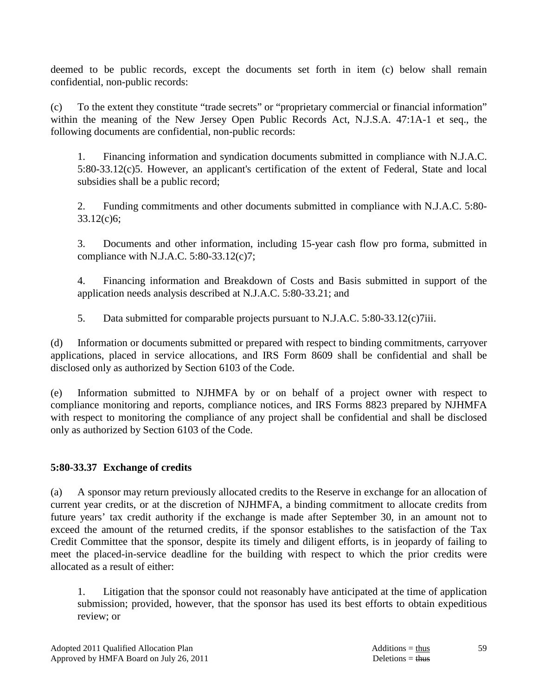deemed to be public records, except the documents set forth in item (c) below shall remain confidential, non-public records:

(c) To the extent they constitute "trade secrets" or "proprietary commercial or financial information" within the meaning of the New Jersey Open Public Records Act, N.J.S.A. 47:1A-1 et seq., the following documents are confidential, non-public records:

 1. Financing information and syndication documents submitted in compliance with N.J.A.C. 5:80-33.12(c)5. However, an applicant's certification of the extent of Federal, State and local subsidies shall be a public record;

 2. Funding commitments and other documents submitted in compliance with N.J.A.C. 5:80- 33.12(c)6;

 3. Documents and other information, including 15-year cash flow pro forma, submitted in compliance with N.J.A.C. 5:80-33.12(c)7;

 4. Financing information and Breakdown of Costs and Basis submitted in support of the application needs analysis described at N.J.A.C. 5:80-33.21; and

5. Data submitted for comparable projects pursuant to N.J.A.C. 5:80-33.12(c)7iii.

(d) Information or documents submitted or prepared with respect to binding commitments, carryover applications, placed in service allocations, and IRS Form 8609 shall be confidential and shall be disclosed only as authorized by Section 6103 of the Code.

(e) Information submitted to NJHMFA by or on behalf of a project owner with respect to compliance monitoring and reports, compliance notices, and IRS Forms 8823 prepared by NJHMFA with respect to monitoring the compliance of any project shall be confidential and shall be disclosed only as authorized by Section 6103 of the Code.

# **5:80-33.37 Exchange of credits**

(a) A sponsor may return previously allocated credits to the Reserve in exchange for an allocation of current year credits, or at the discretion of NJHMFA, a binding commitment to allocate credits from future years' tax credit authority if the exchange is made after September 30, in an amount not to exceed the amount of the returned credits, if the sponsor establishes to the satisfaction of the Tax Credit Committee that the sponsor, despite its timely and diligent efforts, is in jeopardy of failing to meet the placed-in-service deadline for the building with respect to which the prior credits were allocated as a result of either:

 1. Litigation that the sponsor could not reasonably have anticipated at the time of application submission; provided, however, that the sponsor has used its best efforts to obtain expeditious review; or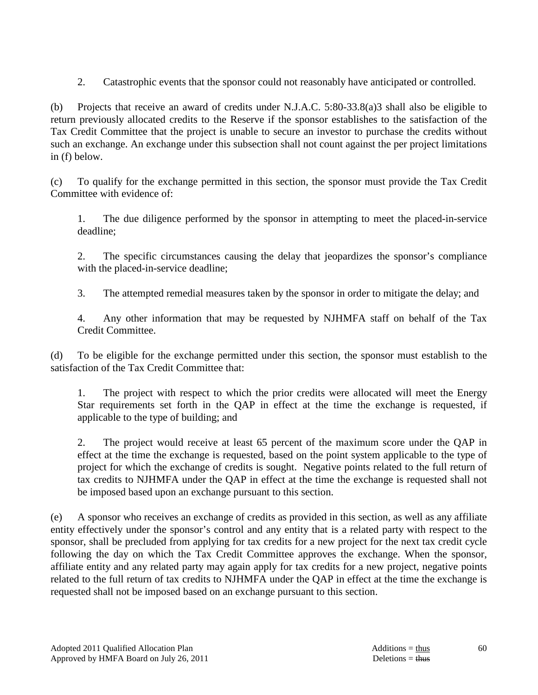2. Catastrophic events that the sponsor could not reasonably have anticipated or controlled.

(b) Projects that receive an award of credits under N.J.A.C. 5:80-33.8(a)3 shall also be eligible to return previously allocated credits to the Reserve if the sponsor establishes to the satisfaction of the Tax Credit Committee that the project is unable to secure an investor to purchase the credits without such an exchange. An exchange under this subsection shall not count against the per project limitations in (f) below.

(c) To qualify for the exchange permitted in this section, the sponsor must provide the Tax Credit Committee with evidence of:

 1. The due diligence performed by the sponsor in attempting to meet the placed-in-service deadline;

 2. The specific circumstances causing the delay that jeopardizes the sponsor's compliance with the placed-in-service deadline;

3. The attempted remedial measures taken by the sponsor in order to mitigate the delay; and

 4. Any other information that may be requested by NJHMFA staff on behalf of the Tax Credit Committee.

(d) To be eligible for the exchange permitted under this section, the sponsor must establish to the satisfaction of the Tax Credit Committee that:

 1. The project with respect to which the prior credits were allocated will meet the Energy Star requirements set forth in the QAP in effect at the time the exchange is requested, if applicable to the type of building; and

 2. The project would receive at least 65 percent of the maximum score under the QAP in effect at the time the exchange is requested, based on the point system applicable to the type of project for which the exchange of credits is sought. Negative points related to the full return of tax credits to NJHMFA under the QAP in effect at the time the exchange is requested shall not be imposed based upon an exchange pursuant to this section.

(e) A sponsor who receives an exchange of credits as provided in this section, as well as any affiliate entity effectively under the sponsor's control and any entity that is a related party with respect to the sponsor, shall be precluded from applying for tax credits for a new project for the next tax credit cycle following the day on which the Tax Credit Committee approves the exchange. When the sponsor, affiliate entity and any related party may again apply for tax credits for a new project, negative points related to the full return of tax credits to NJHMFA under the QAP in effect at the time the exchange is requested shall not be imposed based on an exchange pursuant to this section.